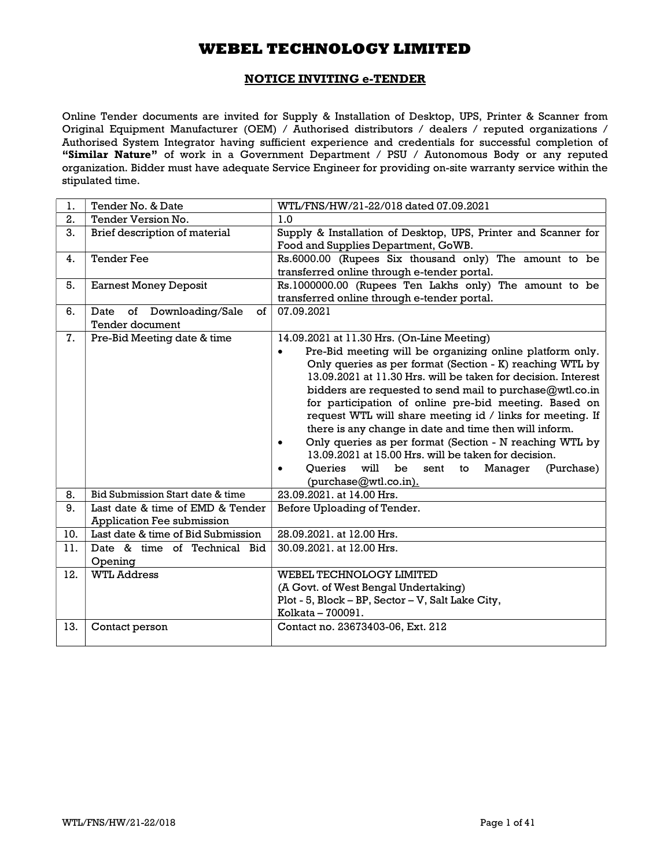## NOTICE INVITING e-TENDER

Online Tender documents are invited for Supply & Installation of Desktop, UPS, Printer & Scanner from Original Equipment Manufacturer (OEM) / Authorised distributors / dealers / reputed organizations / Authorised System Integrator having sufficient experience and credentials for successful completion of "Similar Nature" of work in a Government Department / PSU / Autonomous Body or any reputed organization. Bidder must have adequate Service Engineer for providing on-site warranty service within the stipulated time.

| 1.  | Tender No. & Date                                                     | WTL/FNS/HW/21-22/018 dated 07.09.2021                                                                                                                                                                                                                                                                                                                                                                                                                                                                                                                                                                                                                                                                                        |  |  |
|-----|-----------------------------------------------------------------------|------------------------------------------------------------------------------------------------------------------------------------------------------------------------------------------------------------------------------------------------------------------------------------------------------------------------------------------------------------------------------------------------------------------------------------------------------------------------------------------------------------------------------------------------------------------------------------------------------------------------------------------------------------------------------------------------------------------------------|--|--|
| 2.  | Tender Version No.                                                    | 1.0                                                                                                                                                                                                                                                                                                                                                                                                                                                                                                                                                                                                                                                                                                                          |  |  |
| 3.  | Brief description of material                                         | Supply & Installation of Desktop, UPS, Printer and Scanner for<br>Food and Supplies Department, GoWB.                                                                                                                                                                                                                                                                                                                                                                                                                                                                                                                                                                                                                        |  |  |
| 4.  | <b>Tender Fee</b>                                                     | Rs.6000.00 (Rupees Six thousand only) The amount to be<br>transferred online through e-tender portal.                                                                                                                                                                                                                                                                                                                                                                                                                                                                                                                                                                                                                        |  |  |
| 5.  | <b>Earnest Money Deposit</b>                                          | Rs.1000000.00 (Rupees Ten Lakhs only) The amount to be<br>transferred online through e-tender portal.                                                                                                                                                                                                                                                                                                                                                                                                                                                                                                                                                                                                                        |  |  |
| 6.  | Downloading/Sale<br>of<br>Date<br>of<br><b>Tender document</b>        | 07.09.2021                                                                                                                                                                                                                                                                                                                                                                                                                                                                                                                                                                                                                                                                                                                   |  |  |
| 7.  | Pre-Bid Meeting date & time                                           | 14.09.2021 at 11.30 Hrs. (On-Line Meeting)<br>Pre-Bid meeting will be organizing online platform only.<br>$\bullet$<br>Only queries as per format (Section - K) reaching WTL by<br>13.09.2021 at 11.30 Hrs. will be taken for decision. Interest<br>bidders are requested to send mail to purchase@wtl.co.in<br>for participation of online pre-bid meeting. Based on<br>request WTL will share meeting id / links for meeting. If<br>there is any change in date and time then will inform.<br>Only queries as per format (Section - N reaching WTL by<br>13.09.2021 at 15.00 Hrs. will be taken for decision.<br><b>Oueries</b><br>will<br>be<br>Manager<br>(Purchase)<br>sent<br>to<br>$\bullet$<br>(purchase@wtl.co.in). |  |  |
| 8.  | Bid Submission Start date & time                                      | 23.09.2021. at 14.00 Hrs.                                                                                                                                                                                                                                                                                                                                                                                                                                                                                                                                                                                                                                                                                                    |  |  |
| 9.  | Last date & time of EMD & Tender<br><b>Application Fee submission</b> | Before Uploading of Tender.                                                                                                                                                                                                                                                                                                                                                                                                                                                                                                                                                                                                                                                                                                  |  |  |
| 10. | Last date & time of Bid Submission                                    | 28.09.2021. at 12.00 Hrs.                                                                                                                                                                                                                                                                                                                                                                                                                                                                                                                                                                                                                                                                                                    |  |  |
| 11. | Date & time of Technical Bid<br>Opening                               | 30.09.2021. at 12.00 Hrs.                                                                                                                                                                                                                                                                                                                                                                                                                                                                                                                                                                                                                                                                                                    |  |  |
| 12. | <b>WTL Address</b>                                                    | WEBEL TECHNOLOGY LIMITED<br>(A Govt. of West Bengal Undertaking)<br>Plot - 5, Block - BP, Sector - V, Salt Lake City,<br>Kolkata - 700091.                                                                                                                                                                                                                                                                                                                                                                                                                                                                                                                                                                                   |  |  |
| 13. | Contact person                                                        | Contact no. 23673403-06, Ext. 212                                                                                                                                                                                                                                                                                                                                                                                                                                                                                                                                                                                                                                                                                            |  |  |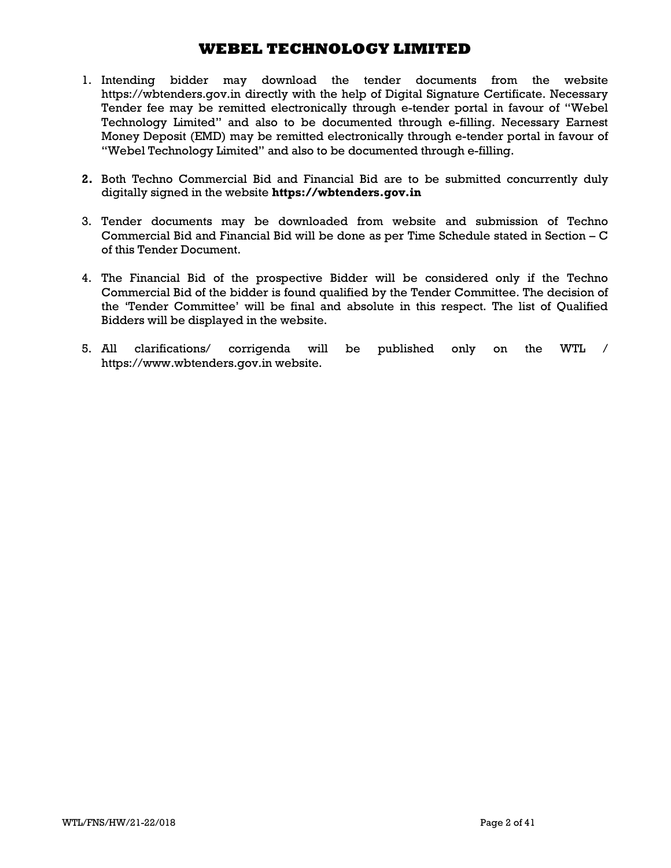- 1. Intending bidder may download the tender documents from the website https://wbtenders.gov.in directly with the help of Digital Signature Certificate. Necessary Tender fee may be remitted electronically through e-tender portal in favour of "Webel Technology Limited" and also to be documented through e-filling. Necessary Earnest Money Deposit (EMD) may be remitted electronically through e-tender portal in favour of "Webel Technology Limited" and also to be documented through e-filling.
- 2. Both Techno Commercial Bid and Financial Bid are to be submitted concurrently duly digitally signed in the website https://wbtenders.gov.in
- 3. Tender documents may be downloaded from website and submission of Techno Commercial Bid and Financial Bid will be done as per Time Schedule stated in Section – C of this Tender Document.
- 4. The Financial Bid of the prospective Bidder will be considered only if the Techno Commercial Bid of the bidder is found qualified by the Tender Committee. The decision of the 'Tender Committee' will be final and absolute in this respect. The list of Qualified Bidders will be displayed in the website.
- 5. All clarifications/ corrigenda will be published only on the WTL / https://www.wbtenders.gov.in website.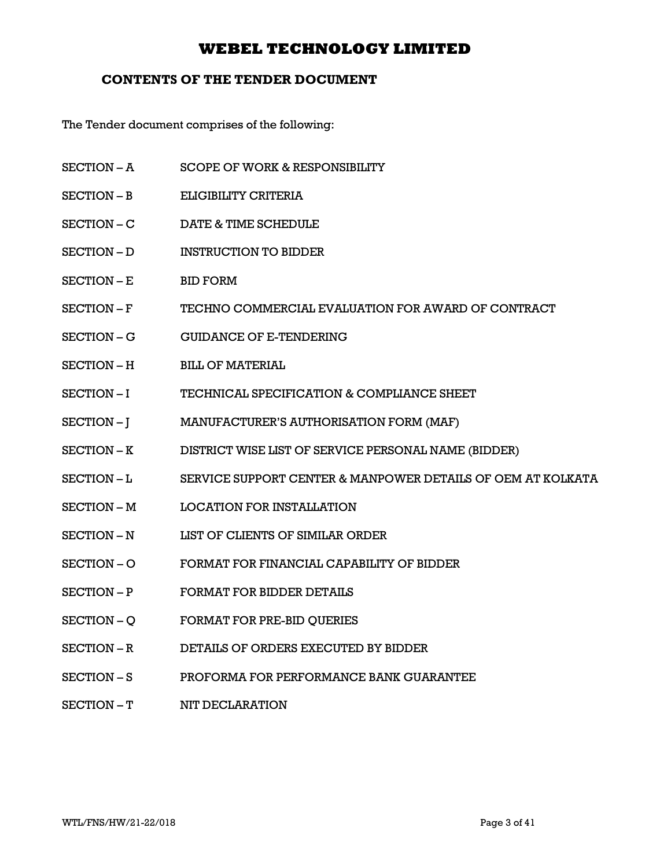## CONTENTS OF THE TENDER DOCUMENT

The Tender document comprises of the following:

- SECTION A SCOPE OF WORK & RESPONSIBILITY
- SECTION B ELIGIBILITY CRITERIA
- SECTION C DATE & TIME SCHEDULE
- SECTION D INSTRUCTION TO BIDDER
- SECTION E BID FORM
- SECTION F TECHNO COMMERCIAL EVALUATION FOR AWARD OF CONTRACT
- SECTION G GUIDANCE OF E-TENDERING
- SECTION H BILL OF MATERIAL
- SECTION I TECHNICAL SPECIFICATION & COMPLIANCE SHEET
- SECTION J MANUFACTURER'S AUTHORISATION FORM (MAF)
- SECTION K DISTRICT WISE LIST OF SERVICE PERSONAL NAME (BIDDER)
- SECTION L SERVICE SUPPORT CENTER & MANPOWER DETAILS OF OEM AT KOLKATA
- SECTION M LOCATION FOR INSTALLATION
- SECTION N LIST OF CLIENTS OF SIMILAR ORDER
- SECTION O FORMAT FOR FINANCIAL CAPABILITY OF BIDDER
- SECTION P FORMAT FOR BIDDER DETAILS
- SECTION Q FORMAT FOR PRE-BID QUERIES
- SECTION R DETAILS OF ORDERS EXECUTED BY BIDDER
- SECTION S PROFORMA FOR PERFORMANCE BANK GUARANTEE
- SECTION T NIT DECLARATION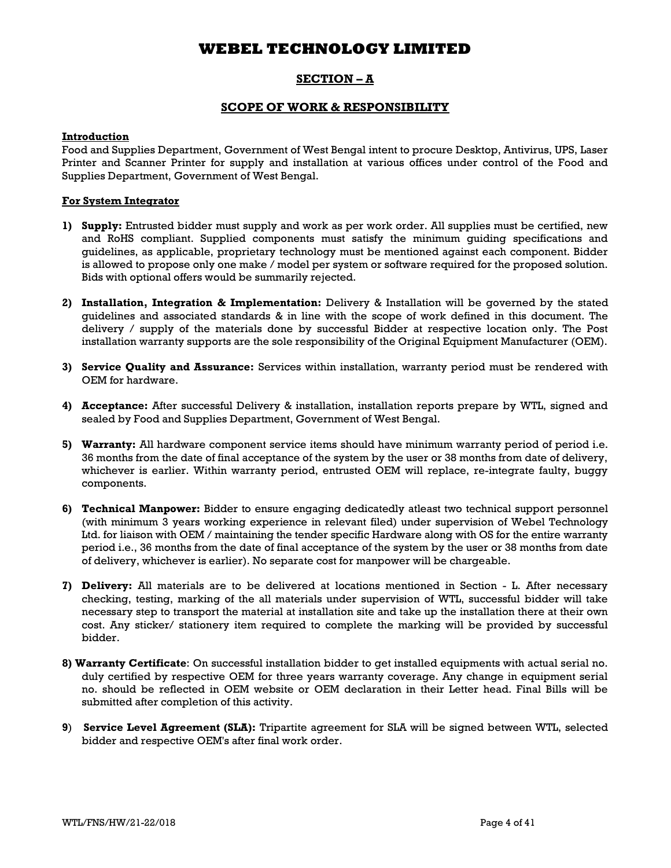## SECTION – A

### SCOPE OF WORK & RESPONSIBILITY

### **Introduction**

Food and Supplies Department, Government of West Bengal intent to procure Desktop, Antivirus, UPS, Laser Printer and Scanner Printer for supply and installation at various offices under control of the Food and Supplies Department, Government of West Bengal.

### For System Integrator

- 1) Supply: Entrusted bidder must supply and work as per work order. All supplies must be certified, new and RoHS compliant. Supplied components must satisfy the minimum guiding specifications and guidelines, as applicable, proprietary technology must be mentioned against each component. Bidder is allowed to propose only one make / model per system or software required for the proposed solution. Bids with optional offers would be summarily rejected.
- 2) Installation, Integration & Implementation: Delivery & Installation will be governed by the stated guidelines and associated standards & in line with the scope of work defined in this document. The delivery / supply of the materials done by successful Bidder at respective location only. The Post installation warranty supports are the sole responsibility of the Original Equipment Manufacturer (OEM).
- 3) Service Quality and Assurance: Services within installation, warranty period must be rendered with OEM for hardware.
- 4) Acceptance: After successful Delivery & installation, installation reports prepare by WTL, signed and sealed by Food and Supplies Department, Government of West Bengal.
- 5) Warranty: All hardware component service items should have minimum warranty period of period i.e. 36 months from the date of final acceptance of the system by the user or 38 months from date of delivery, whichever is earlier. Within warranty period, entrusted OEM will replace, re-integrate faulty, buggy components.
- 6) Technical Manpower: Bidder to ensure engaging dedicatedly atleast two technical support personnel (with minimum 3 years working experience in relevant filed) under supervision of Webel Technology Ltd. for liaison with OEM / maintaining the tender specific Hardware along with OS for the entire warranty period i.e., 36 months from the date of final acceptance of the system by the user or 38 months from date of delivery, whichever is earlier). No separate cost for manpower will be chargeable.
- 7) Delivery: All materials are to be delivered at locations mentioned in Section L. After necessary checking, testing, marking of the all materials under supervision of WTL, successful bidder will take necessary step to transport the material at installation site and take up the installation there at their own cost. Any sticker/ stationery item required to complete the marking will be provided by successful bidder.
- 8) Warranty Certificate: On successful installation bidder to get installed equipments with actual serial no. duly certified by respective OEM for three years warranty coverage. Any change in equipment serial no. should be reflected in OEM website or OEM declaration in their Letter head. Final Bills will be submitted after completion of this activity.
- 9) Service Level Agreement (SLA): Tripartite agreement for SLA will be signed between WTL, selected bidder and respective OEM's after final work order.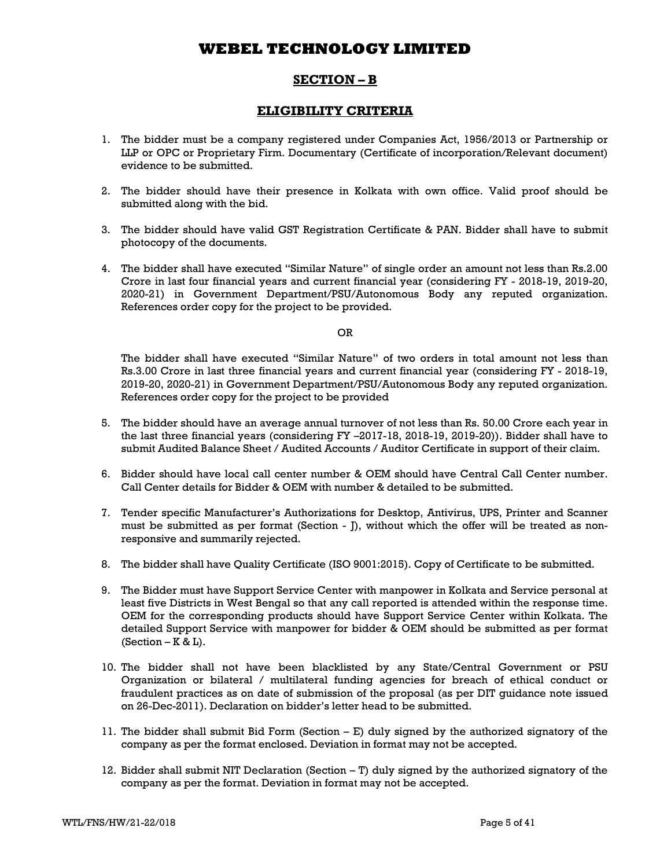## SECTION – B

## ELIGIBILITY CRITERIA

- 1. The bidder must be a company registered under Companies Act, 1956/2013 or Partnership or LLP or OPC or Proprietary Firm. Documentary (Certificate of incorporation/Relevant document) evidence to be submitted.
- 2. The bidder should have their presence in Kolkata with own office. Valid proof should be submitted along with the bid.
- 3. The bidder should have valid GST Registration Certificate & PAN. Bidder shall have to submit photocopy of the documents.
- 4. The bidder shall have executed "Similar Nature" of single order an amount not less than Rs.2.00 Crore in last four financial years and current financial year (considering FY - 2018-19, 2019-20, 2020-21) in Government Department/PSU/Autonomous Body any reputed organization. References order copy for the project to be provided.

OR

The bidder shall have executed "Similar Nature" of two orders in total amount not less than Rs.3.00 Crore in last three financial years and current financial year (considering FY - 2018-19, 2019-20, 2020-21) in Government Department/PSU/Autonomous Body any reputed organization. References order copy for the project to be provided

- 5. The bidder should have an average annual turnover of not less than Rs. 50.00 Crore each year in the last three financial years (considering FY –2017-18, 2018-19, 2019-20)). Bidder shall have to submit Audited Balance Sheet / Audited Accounts / Auditor Certificate in support of their claim.
- 6. Bidder should have local call center number & OEM should have Central Call Center number. Call Center details for Bidder & OEM with number & detailed to be submitted.
- 7. Tender specific Manufacturer's Authorizations for Desktop, Antivirus, UPS, Printer and Scanner must be submitted as per format (Section - J), without which the offer will be treated as nonresponsive and summarily rejected.
- 8. The bidder shall have Quality Certificate (ISO 9001:2015). Copy of Certificate to be submitted.
- 9. The Bidder must have Support Service Center with manpower in Kolkata and Service personal at least five Districts in West Bengal so that any call reported is attended within the response time. OEM for the corresponding products should have Support Service Center within Kolkata. The detailed Support Service with manpower for bidder & OEM should be submitted as per format  $(Section - K &L).$
- 10. The bidder shall not have been blacklisted by any State/Central Government or PSU Organization or bilateral / multilateral funding agencies for breach of ethical conduct or fraudulent practices as on date of submission of the proposal (as per DIT guidance note issued on 26-Dec-2011). Declaration on bidder's letter head to be submitted.
- 11. The bidder shall submit Bid Form (Section E) duly signed by the authorized signatory of the company as per the format enclosed. Deviation in format may not be accepted.
- 12. Bidder shall submit NIT Declaration (Section T) duly signed by the authorized signatory of the company as per the format. Deviation in format may not be accepted.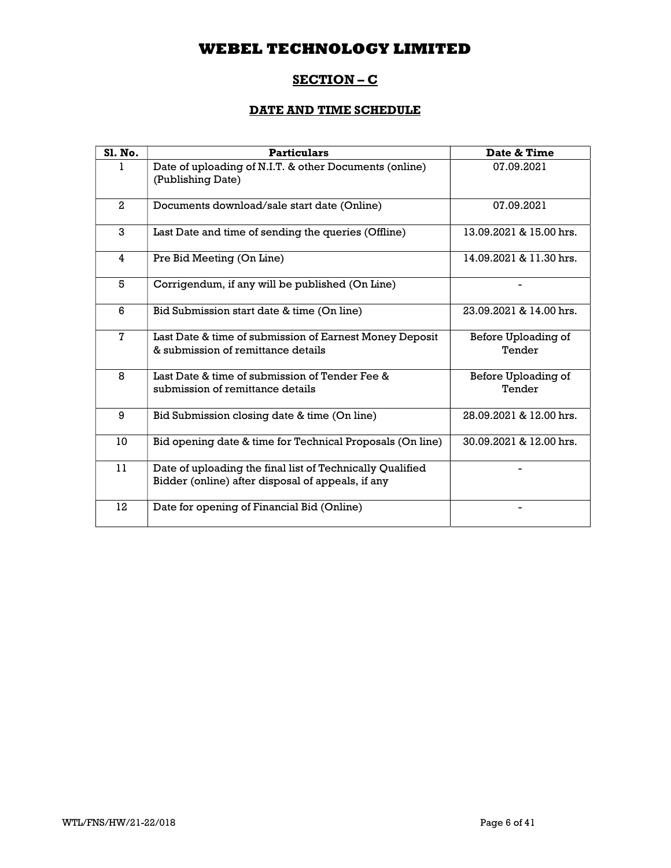# SECTION – C

# DATE AND TIME SCHEDULE

| <b>S1. No.</b> | <b>Particulars</b>                                                                                             | Date & Time                   |
|----------------|----------------------------------------------------------------------------------------------------------------|-------------------------------|
| 1              | Date of uploading of N.I.T. & other Documents (online)<br>(Publishing Date)                                    | 07.09.2021                    |
| $\overline{2}$ | Documents download/sale start date (Online)                                                                    | 07.09.2021                    |
| 3              | Last Date and time of sending the queries (Offline)                                                            | 13.09.2021 & 15.00 hrs.       |
| 4              | Pre Bid Meeting (On Line)                                                                                      | 14.09.2021 & 11.30 hrs.       |
| 5              | Corrigendum, if any will be published (On Line)                                                                |                               |
| 6              | Bid Submission start date & time (On line)                                                                     | 23.09.2021 & 14.00 hrs.       |
| $\mathbf{7}$   | Last Date & time of submission of Earnest Money Deposit<br>& submission of remittance details                  | Before Uploading of<br>Tender |
| 8              | Last Date & time of submission of Tender Fee &<br>submission of remittance details                             | Before Uploading of<br>Tender |
| 9              | Bid Submission closing date & time (On line)                                                                   | 28.09.2021 & 12.00 hrs.       |
| 10             | Bid opening date & time for Technical Proposals (On line)                                                      | 30.09.2021 & 12.00 hrs.       |
| 11             | Date of uploading the final list of Technically Qualified<br>Bidder (online) after disposal of appeals, if any |                               |
| 12             | Date for opening of Financial Bid (Online)                                                                     |                               |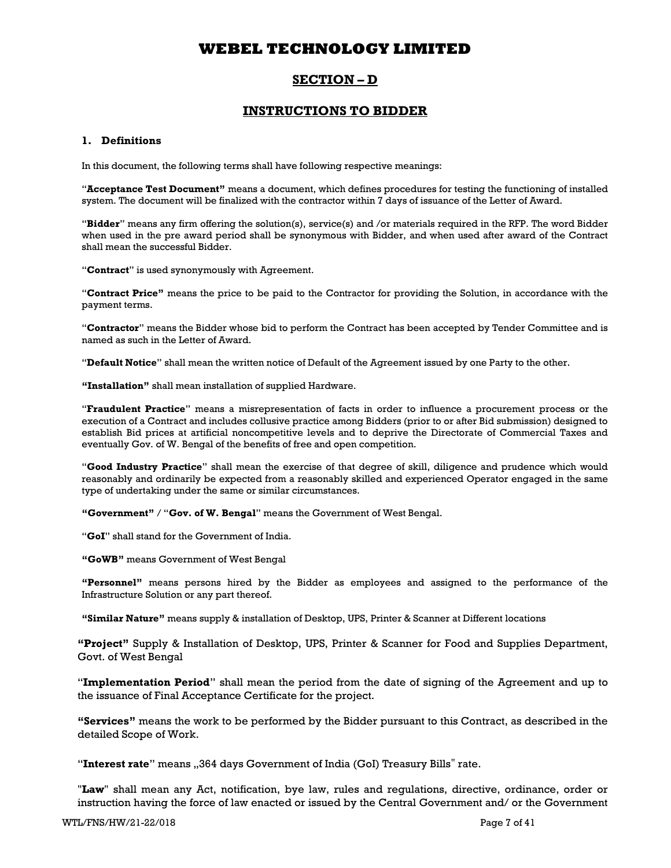## SECTION – D

## INSTRUCTIONS TO BIDDER

### 1. Definitions

In this document, the following terms shall have following respective meanings:

"Acceptance Test Document" means a document, which defines procedures for testing the functioning of installed system. The document will be finalized with the contractor within 7 days of issuance of the Letter of Award.

"Bidder" means any firm offering the solution(s), service(s) and /or materials required in the RFP. The word Bidder when used in the pre award period shall be synonymous with Bidder, and when used after award of the Contract shall mean the successful Bidder.

"Contract" is used synonymously with Agreement.

"Contract Price" means the price to be paid to the Contractor for providing the Solution, in accordance with the payment terms.

"Contractor" means the Bidder whose bid to perform the Contract has been accepted by Tender Committee and is named as such in the Letter of Award.

"Default Notice" shall mean the written notice of Default of the Agreement issued by one Party to the other.

"Installation" shall mean installation of supplied Hardware.

"Fraudulent Practice" means a misrepresentation of facts in order to influence a procurement process or the execution of a Contract and includes collusive practice among Bidders (prior to or after Bid submission) designed to establish Bid prices at artificial noncompetitive levels and to deprive the Directorate of Commercial Taxes and eventually Gov. of W. Bengal of the benefits of free and open competition.

"Good Industry Practice" shall mean the exercise of that degree of skill, diligence and prudence which would reasonably and ordinarily be expected from a reasonably skilled and experienced Operator engaged in the same type of undertaking under the same or similar circumstances.

"Government" / "Gov. of W. Bengal" means the Government of West Bengal.

"GoI" shall stand for the Government of India.

"GoWB" means Government of West Bengal

"Personnel" means persons hired by the Bidder as employees and assigned to the performance of the Infrastructure Solution or any part thereof.

"Similar Nature" means supply & installation of Desktop, UPS, Printer & Scanner at Different locations

"Project" Supply & Installation of Desktop, UPS, Printer & Scanner for Food and Supplies Department, Govt. of West Bengal

"Implementation Period" shall mean the period from the date of signing of the Agreement and up to the issuance of Final Acceptance Certificate for the project.

"Services" means the work to be performed by the Bidder pursuant to this Contract, as described in the detailed Scope of Work.

"Interest rate" means ,,364 days Government of India (GoI) Treasury Bills" rate.

"Law" shall mean any Act, notification, bye law, rules and regulations, directive, ordinance, order or instruction having the force of law enacted or issued by the Central Government and/ or the Government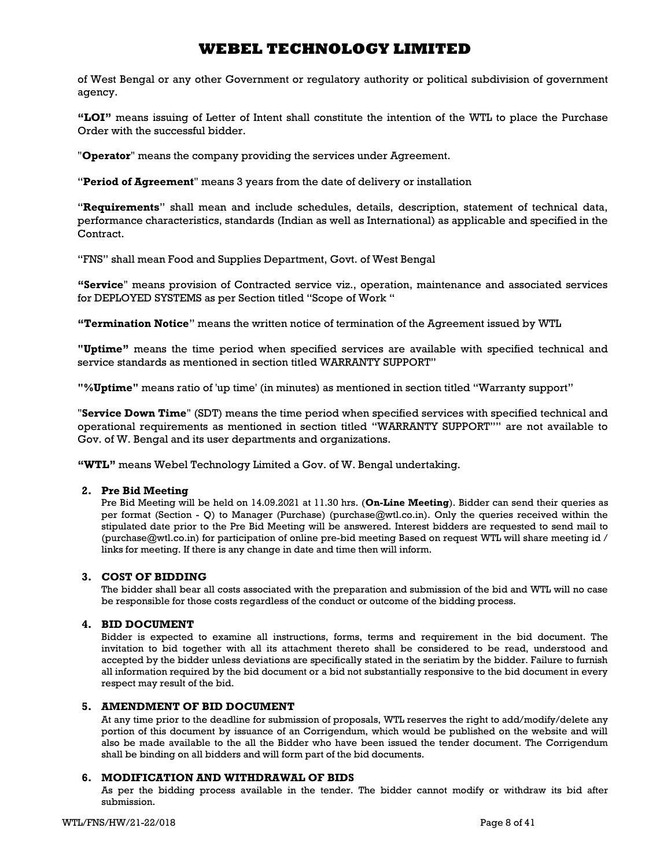of West Bengal or any other Government or regulatory authority or political subdivision of government agency.

"LOI" means issuing of Letter of Intent shall constitute the intention of the WTL to place the Purchase Order with the successful bidder.

"**Operator**" means the company providing the services under Agreement.

"Period of Agreement" means 3 years from the date of delivery or installation

"Requirements" shall mean and include schedules, details, description, statement of technical data, performance characteristics, standards (Indian as well as International) as applicable and specified in the Contract.

"FNS" shall mean Food and Supplies Department, Govt. of West Bengal

"Service" means provision of Contracted service viz., operation, maintenance and associated services for DEPLOYED SYSTEMS as per Section titled "Scope of Work "

"Termination Notice" means the written notice of termination of the Agreement issued by WTL

"Uptime" means the time period when specified services are available with specified technical and service standards as mentioned in section titled WARRANTY SUPPORT"

"%Uptime" means ratio of 'up time' (in minutes) as mentioned in section titled "Warranty support"

"Service Down Time" (SDT) means the time period when specified services with specified technical and operational requirements as mentioned in section titled "WARRANTY SUPPORT"" are not available to Gov. of W. Bengal and its user departments and organizations.

"WTL" means Webel Technology Limited a Gov. of W. Bengal undertaking.

### 2. Pre Bid Meeting

Pre Bid Meeting will be held on 14.09.2021 at 11.30 hrs. (On-Line Meeting). Bidder can send their queries as per format (Section - Q) to Manager (Purchase) (purchase@wtl.co.in). Only the queries received within the stipulated date prior to the Pre Bid Meeting will be answered. Interest bidders are requested to send mail to (purchase@wtl.co.in) for participation of online pre-bid meeting Based on request WTL will share meeting id / links for meeting. If there is any change in date and time then will inform.

### 3. COST OF BIDDING

The bidder shall bear all costs associated with the preparation and submission of the bid and WTL will no case be responsible for those costs regardless of the conduct or outcome of the bidding process.

### 4. BID DOCUMENT

Bidder is expected to examine all instructions, forms, terms and requirement in the bid document. The invitation to bid together with all its attachment thereto shall be considered to be read, understood and accepted by the bidder unless deviations are specifically stated in the seriatim by the bidder. Failure to furnish all information required by the bid document or a bid not substantially responsive to the bid document in every respect may result of the bid.

### 5. AMENDMENT OF BID DOCUMENT

At any time prior to the deadline for submission of proposals, WTL reserves the right to add/modify/delete any portion of this document by issuance of an Corrigendum, which would be published on the website and will also be made available to the all the Bidder who have been issued the tender document. The Corrigendum shall be binding on all bidders and will form part of the bid documents.

### 6. MODIFICATION AND WITHDRAWAL OF BIDS

As per the bidding process available in the tender. The bidder cannot modify or withdraw its bid after submission.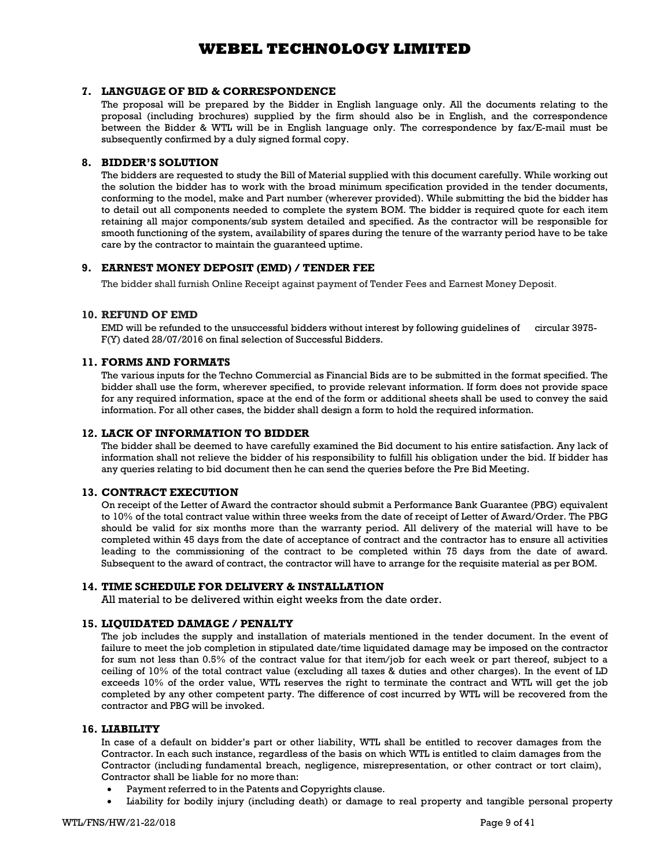### 7. LANGUAGE OF BID & CORRESPONDENCE

The proposal will be prepared by the Bidder in English language only. All the documents relating to the proposal (including brochures) supplied by the firm should also be in English, and the correspondence between the Bidder & WTL will be in English language only. The correspondence by fax/E-mail must be subsequently confirmed by a duly signed formal copy.

### 8. BIDDER'S SOLUTION

The bidders are requested to study the Bill of Material supplied with this document carefully. While working out the solution the bidder has to work with the broad minimum specification provided in the tender documents, conforming to the model, make and Part number (wherever provided). While submitting the bid the bidder has to detail out all components needed to complete the system BOM. The bidder is required quote for each item retaining all major components/sub system detailed and specified. As the contractor will be responsible for smooth functioning of the system, availability of spares during the tenure of the warranty period have to be take care by the contractor to maintain the guaranteed uptime.

### 9. EARNEST MONEY DEPOSIT (EMD) / TENDER FEE

The bidder shall furnish Online Receipt against payment of Tender Fees and Earnest Money Deposit.

### 10. REFUND OF EMD

EMD will be refunded to the unsuccessful bidders without interest by following guidelines of circular 3975- F(Y) dated 28/07/2016 on final selection of Successful Bidders.

### 11. FORMS AND FORMATS

The various inputs for the Techno Commercial as Financial Bids are to be submitted in the format specified. The bidder shall use the form, wherever specified, to provide relevant information. If form does not provide space for any required information, space at the end of the form or additional sheets shall be used to convey the said information. For all other cases, the bidder shall design a form to hold the required information.

### 12. LACK OF INFORMATION TO BIDDER

The bidder shall be deemed to have carefully examined the Bid document to his entire satisfaction. Any lack of information shall not relieve the bidder of his responsibility to fulfill his obligation under the bid. If bidder has any queries relating to bid document then he can send the queries before the Pre Bid Meeting.

### 13. CONTRACT EXECUTION

On receipt of the Letter of Award the contractor should submit a Performance Bank Guarantee (PBG) equivalent to 10% of the total contract value within three weeks from the date of receipt of Letter of Award/Order. The PBG should be valid for six months more than the warranty period. All delivery of the material will have to be completed within 45 days from the date of acceptance of contract and the contractor has to ensure all activities leading to the commissioning of the contract to be completed within 75 days from the date of award. Subsequent to the award of contract, the contractor will have to arrange for the requisite material as per BOM.

### 14. TIME SCHEDULE FOR DELIVERY & INSTALLATION

All material to be delivered within eight weeks from the date order.

### 15. LIQUIDATED DAMAGE / PENALTY

The job includes the supply and installation of materials mentioned in the tender document. In the event of failure to meet the job completion in stipulated date/time liquidated damage may be imposed on the contractor for sum not less than 0.5% of the contract value for that item/job for each week or part thereof, subject to a ceiling of 10% of the total contract value (excluding all taxes & duties and other charges). In the event of LD exceeds 10% of the order value, WTL reserves the right to terminate the contract and WTL will get the job completed by any other competent party. The difference of cost incurred by WTL will be recovered from the contractor and PBG will be invoked.

### 16. LIABILITY

In case of a default on bidder's part or other liability, WTL shall be entitled to recover damages from the Contractor. In each such instance, regardless of the basis on which WTL is entitled to claim damages from the Contractor (including fundamental breach, negligence, misrepresentation, or other contract or tort claim), Contractor shall be liable for no more than:

- Payment referred to in the Patents and Copyrights clause.
- Liability for bodily injury (including death) or damage to real property and tangible personal property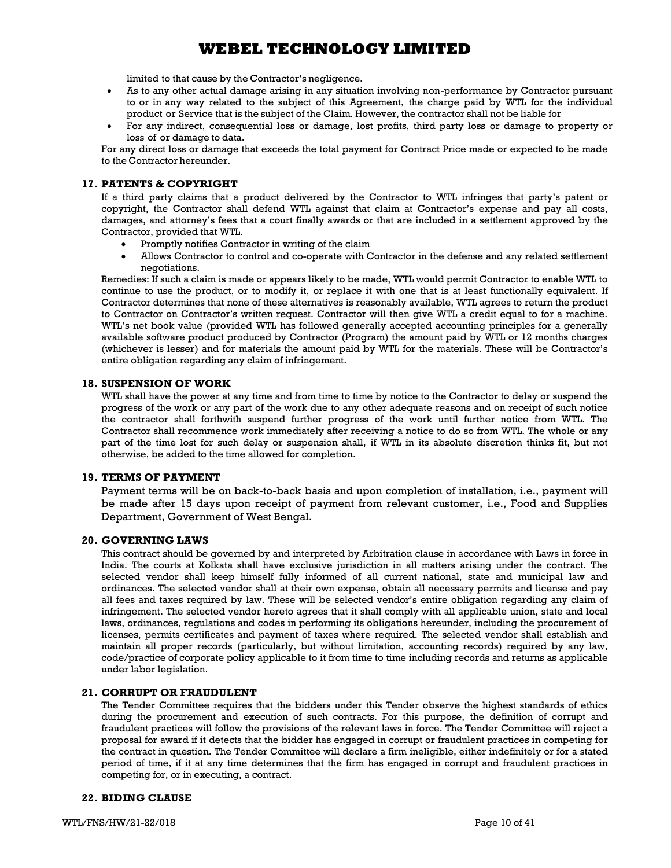limited to that cause by the Contractor's negligence.

- As to any other actual damage arising in any situation involving non-performance by Contractor pursuant to or in any way related to the subject of this Agreement, the charge paid by WTL for the individual product or Service that is the subject of the Claim. However, the contractor shall not be liable for
- For any indirect, consequential loss or damage, lost profits, third party loss or damage to property or loss of or damage to data.

For any direct loss or damage that exceeds the total payment for Contract Price made or expected to be made to the Contractor hereunder.

### 17. PATENTS & COPYRIGHT

If a third party claims that a product delivered by the Contractor to WTL infringes that party's patent or copyright, the Contractor shall defend WTL against that claim at Contractor's expense and pay all costs, damages, and attorney's fees that a court finally awards or that are included in a settlement approved by the Contractor, provided that WTL.

- Promptly notifies Contractor in writing of the claim
- Allows Contractor to control and co-operate with Contractor in the defense and any related settlement negotiations.

Remedies: If such a claim is made or appears likely to be made, WTL would permit Contractor to enable WTL to continue to use the product, or to modify it, or replace it with one that is at least functionally equivalent. If Contractor determines that none of these alternatives is reasonably available, WTL agrees to return the product to Contractor on Contractor's written request. Contractor will then give WTL a credit equal to for a machine. WTL's net book value (provided WTL has followed generally accepted accounting principles for a generally available software product produced by Contractor (Program) the amount paid by WTL or 12 months charges (whichever is lesser) and for materials the amount paid by WTL for the materials. These will be Contractor's entire obligation regarding any claim of infringement.

### 18. SUSPENSION OF WORK

WTL shall have the power at any time and from time to time by notice to the Contractor to delay or suspend the progress of the work or any part of the work due to any other adequate reasons and on receipt of such notice the contractor shall forthwith suspend further progress of the work until further notice from WTL. The Contractor shall recommence work immediately after receiving a notice to do so from WTL. The whole or any part of the time lost for such delay or suspension shall, if WTL in its absolute discretion thinks fit, but not otherwise, be added to the time allowed for completion.

### 19. TERMS OF PAYMENT

Payment terms will be on back-to-back basis and upon completion of installation, i.e., payment will be made after 15 days upon receipt of payment from relevant customer, i.e., Food and Supplies Department, Government of West Bengal.

#### 20. GOVERNING LAWS

This contract should be governed by and interpreted by Arbitration clause in accordance with Laws in force in India. The courts at Kolkata shall have exclusive jurisdiction in all matters arising under the contract. The selected vendor shall keep himself fully informed of all current national, state and municipal law and ordinances. The selected vendor shall at their own expense, obtain all necessary permits and license and pay all fees and taxes required by law. These will be selected vendor's entire obligation regarding any claim of infringement. The selected vendor hereto agrees that it shall comply with all applicable union, state and local laws, ordinances, regulations and codes in performing its obligations hereunder, including the procurement of licenses, permits certificates and payment of taxes where required. The selected vendor shall establish and maintain all proper records (particularly, but without limitation, accounting records) required by any law, code/practice of corporate policy applicable to it from time to time including records and returns as applicable under labor legislation.

#### 21. CORRUPT OR FRAUDULENT

The Tender Committee requires that the bidders under this Tender observe the highest standards of ethics during the procurement and execution of such contracts. For this purpose, the definition of corrupt and fraudulent practices will follow the provisions of the relevant laws in force. The Tender Committee will reject a proposal for award if it detects that the bidder has engaged in corrupt or fraudulent practices in competing for the contract in question. The Tender Committee will declare a firm ineligible, either indefinitely or for a stated period of time, if it at any time determines that the firm has engaged in corrupt and fraudulent practices in competing for, or in executing, a contract.

### 22. BIDING CLAUSE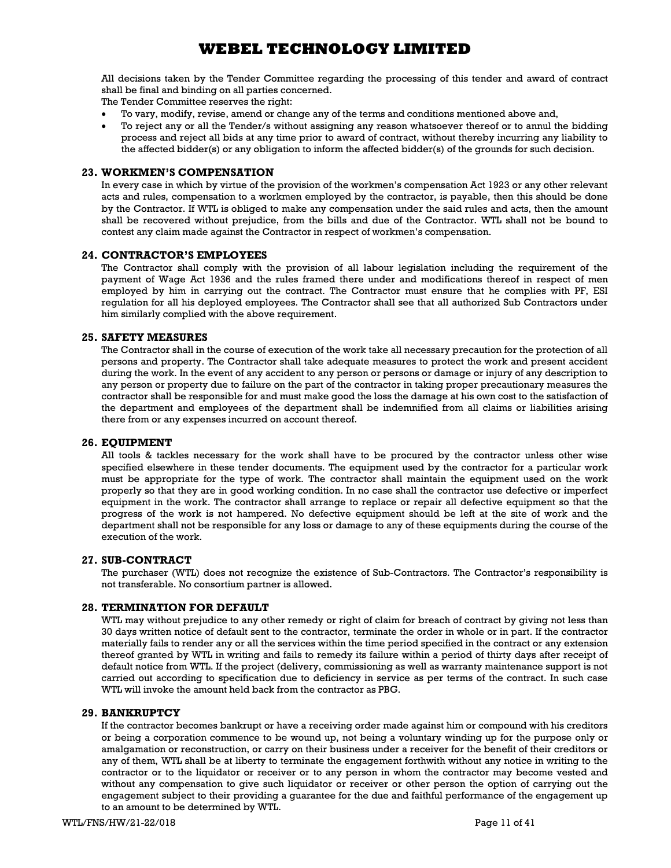All decisions taken by the Tender Committee regarding the processing of this tender and award of contract shall be final and binding on all parties concerned.

The Tender Committee reserves the right:

- To vary, modify, revise, amend or change any of the terms and conditions mentioned above and,
- To reject any or all the Tender/s without assigning any reason whatsoever thereof or to annul the bidding process and reject all bids at any time prior to award of contract, without thereby incurring any liability to the affected bidder(s) or any obligation to inform the affected bidder(s) of the grounds for such decision.

### 23. WORKMEN'S COMPENSATION

In every case in which by virtue of the provision of the workmen's compensation Act 1923 or any other relevant acts and rules, compensation to a workmen employed by the contractor, is payable, then this should be done by the Contractor. If WTL is obliged to make any compensation under the said rules and acts, then the amount shall be recovered without prejudice, from the bills and due of the Contractor. WTL shall not be bound to contest any claim made against the Contractor in respect of workmen's compensation.

### 24. CONTRACTOR'S EMPLOYEES

The Contractor shall comply with the provision of all labour legislation including the requirement of the payment of Wage Act 1936 and the rules framed there under and modifications thereof in respect of men employed by him in carrying out the contract. The Contractor must ensure that he complies with PF, ESI regulation for all his deployed employees. The Contractor shall see that all authorized Sub Contractors under him similarly complied with the above requirement.

### 25. SAFETY MEASURES

The Contractor shall in the course of execution of the work take all necessary precaution for the protection of all persons and property. The Contractor shall take adequate measures to protect the work and present accident during the work. In the event of any accident to any person or persons or damage or injury of any description to any person or property due to failure on the part of the contractor in taking proper precautionary measures the contractor shall be responsible for and must make good the loss the damage at his own cost to the satisfaction of the department and employees of the department shall be indemnified from all claims or liabilities arising there from or any expenses incurred on account thereof.

### 26. EQUIPMENT

All tools & tackles necessary for the work shall have to be procured by the contractor unless other wise specified elsewhere in these tender documents. The equipment used by the contractor for a particular work must be appropriate for the type of work. The contractor shall maintain the equipment used on the work properly so that they are in good working condition. In no case shall the contractor use defective or imperfect equipment in the work. The contractor shall arrange to replace or repair all defective equipment so that the progress of the work is not hampered. No defective equipment should be left at the site of work and the department shall not be responsible for any loss or damage to any of these equipments during the course of the execution of the work.

### 27. SUB-CONTRACT

The purchaser (WTL) does not recognize the existence of Sub-Contractors. The Contractor's responsibility is not transferable. No consortium partner is allowed.

### 28. TERMINATION FOR DEFAULT

WTL may without prejudice to any other remedy or right of claim for breach of contract by giving not less than 30 days written notice of default sent to the contractor, terminate the order in whole or in part. If the contractor materially fails to render any or all the services within the time period specified in the contract or any extension thereof granted by WTL in writing and fails to remedy its failure within a period of thirty days after receipt of default notice from WTL. If the project (delivery, commissioning as well as warranty maintenance support is not carried out according to specification due to deficiency in service as per terms of the contract. In such case WTL will invoke the amount held back from the contractor as PBG.

### 29. BANKRUPTCY

If the contractor becomes bankrupt or have a receiving order made against him or compound with his creditors or being a corporation commence to be wound up, not being a voluntary winding up for the purpose only or amalgamation or reconstruction, or carry on their business under a receiver for the benefit of their creditors or any of them, WTL shall be at liberty to terminate the engagement forthwith without any notice in writing to the contractor or to the liquidator or receiver or to any person in whom the contractor may become vested and without any compensation to give such liquidator or receiver or other person the option of carrying out the engagement subject to their providing a guarantee for the due and faithful performance of the engagement up to an amount to be determined by WTL.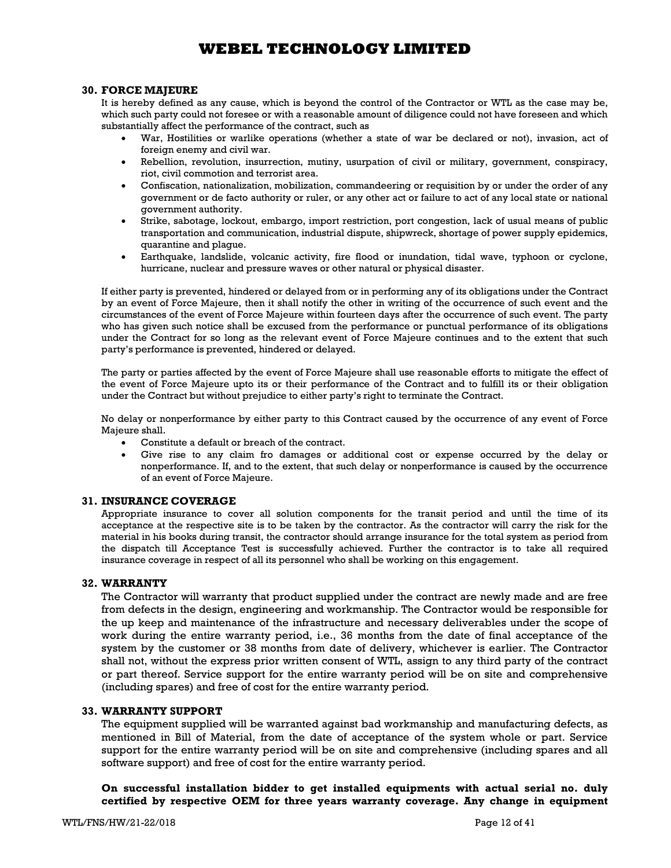### 30. FORCE MAJEURE

It is hereby defined as any cause, which is beyond the control of the Contractor or WTL as the case may be, which such party could not foresee or with a reasonable amount of diligence could not have foreseen and which substantially affect the performance of the contract, such as

- War, Hostilities or warlike operations (whether a state of war be declared or not), invasion, act of foreign enemy and civil war.
- Rebellion, revolution, insurrection, mutiny, usurpation of civil or military, government, conspiracy, riot, civil commotion and terrorist area.
- Confiscation, nationalization, mobilization, commandeering or requisition by or under the order of any government or de facto authority or ruler, or any other act or failure to act of any local state or national government authority.
- Strike, sabotage, lockout, embargo, import restriction, port congestion, lack of usual means of public transportation and communication, industrial dispute, shipwreck, shortage of power supply epidemics, quarantine and plague.
- Earthquake, landslide, volcanic activity, fire flood or inundation, tidal wave, typhoon or cyclone, hurricane, nuclear and pressure waves or other natural or physical disaster.

If either party is prevented, hindered or delayed from or in performing any of its obligations under the Contract by an event of Force Majeure, then it shall notify the other in writing of the occurrence of such event and the circumstances of the event of Force Majeure within fourteen days after the occurrence of such event. The party who has given such notice shall be excused from the performance or punctual performance of its obligations under the Contract for so long as the relevant event of Force Majeure continues and to the extent that such party's performance is prevented, hindered or delayed.

The party or parties affected by the event of Force Majeure shall use reasonable efforts to mitigate the effect of the event of Force Majeure upto its or their performance of the Contract and to fulfill its or their obligation under the Contract but without prejudice to either party's right to terminate the Contract.

No delay or nonperformance by either party to this Contract caused by the occurrence of any event of Force Majeure shall.

- Constitute a default or breach of the contract.
- Give rise to any claim fro damages or additional cost or expense occurred by the delay or nonperformance. If, and to the extent, that such delay or nonperformance is caused by the occurrence of an event of Force Majeure.

### 31. INSURANCE COVERAGE

Appropriate insurance to cover all solution components for the transit period and until the time of its acceptance at the respective site is to be taken by the contractor. As the contractor will carry the risk for the material in his books during transit, the contractor should arrange insurance for the total system as period from the dispatch till Acceptance Test is successfully achieved. Further the contractor is to take all required insurance coverage in respect of all its personnel who shall be working on this engagement.

### 32. WARRANTY

The Contractor will warranty that product supplied under the contract are newly made and are free from defects in the design, engineering and workmanship. The Contractor would be responsible for the up keep and maintenance of the infrastructure and necessary deliverables under the scope of work during the entire warranty period, i.e., 36 months from the date of final acceptance of the system by the customer or 38 months from date of delivery, whichever is earlier. The Contractor shall not, without the express prior written consent of WTL, assign to any third party of the contract or part thereof. Service support for the entire warranty period will be on site and comprehensive (including spares) and free of cost for the entire warranty period.

### 33. WARRANTY SUPPORT

The equipment supplied will be warranted against bad workmanship and manufacturing defects, as mentioned in Bill of Material, from the date of acceptance of the system whole or part. Service support for the entire warranty period will be on site and comprehensive (including spares and all software support) and free of cost for the entire warranty period.

On successful installation bidder to get installed equipments with actual serial no. duly certified by respective OEM for three years warranty coverage. Any change in equipment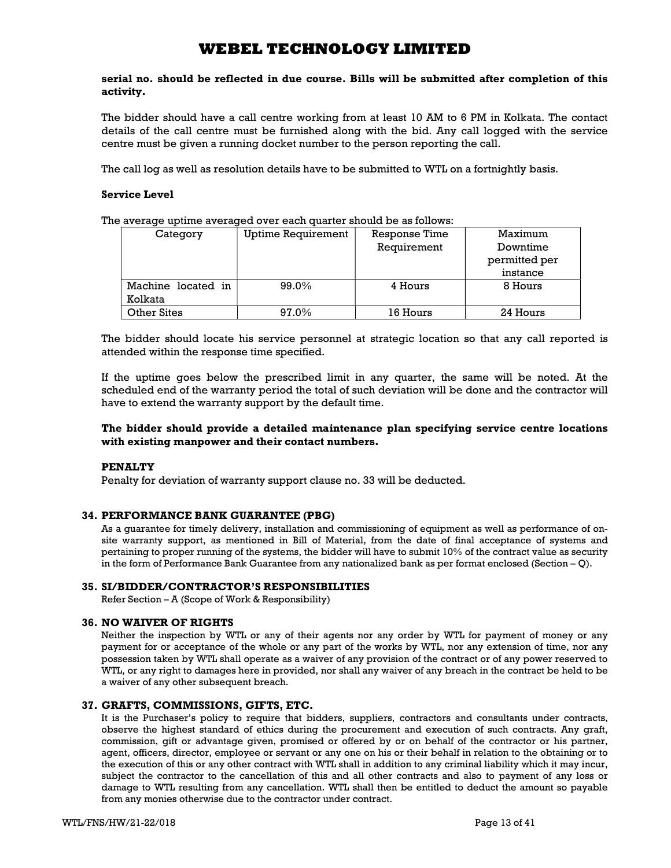serial no. should be reflected in due course. Bills will be submitted after completion of this activity.

The bidder should have a call centre working from at least 10 AM to 6 PM in Kolkata. The contact details of the call centre must be furnished along with the bid. Any call logged with the service centre must be given a running docket number to the person reporting the call.

The call log as well as resolution details have to be submitted to WTL on a fortnightly basis.

### Service Level

The average uptime averaged over each quarter should be as follows:

| Category           | <b>Uptime Requirement</b> | Response Time | Maximum       |
|--------------------|---------------------------|---------------|---------------|
|                    |                           | Requirement   | Downtime      |
|                    |                           |               | permitted per |
|                    |                           |               | instance      |
| Machine located in | 99.0%                     | 4 Hours       | 8 Hours       |
| Kolkata            |                           |               |               |
| <b>Other Sites</b> | 97.0%                     | 16 Hours      | 24 Hours      |

The bidder should locate his service personnel at strategic location so that any call reported is attended within the response time specified.

If the uptime goes below the prescribed limit in any quarter, the same will be noted. At the scheduled end of the warranty period the total of such deviation will be done and the contractor will have to extend the warranty support by the default time.

### The bidder should provide a detailed maintenance plan specifying service centre locations with existing manpower and their contact numbers.

### PENALTY

Penalty for deviation of warranty support clause no. 33 will be deducted.

### 34. PERFORMANCE BANK GUARANTEE (PBG)

As a guarantee for timely delivery, installation and commissioning of equipment as well as performance of onsite warranty support, as mentioned in Bill of Material, from the date of final acceptance of systems and pertaining to proper running of the systems, the bidder will have to submit 10% of the contract value as security in the form of Performance Bank Guarantee from any nationalized bank as per format enclosed (Section – Q).

### 35. SI/BIDDER/CONTRACTOR'S RESPONSIBILITIES

Refer Section – A (Scope of Work & Responsibility)

### 36. NO WAIVER OF RIGHTS

Neither the inspection by WTL or any of their agents nor any order by WTL for payment of money or any payment for or acceptance of the whole or any part of the works by WTL, nor any extension of time, nor any possession taken by WTL shall operate as a waiver of any provision of the contract or of any power reserved to WTL, or any right to damages here in provided, nor shall any waiver of any breach in the contract be held to be a waiver of any other subsequent breach.

### 37. GRAFTS, COMMISSIONS, GIFTS, ETC.

It is the Purchaser's policy to require that bidders, suppliers, contractors and consultants under contracts, observe the highest standard of ethics during the procurement and execution of such contracts. Any graft, commission, gift or advantage given, promised or offered by or on behalf of the contractor or his partner, agent, officers, director, employee or servant or any one on his or their behalf in relation to the obtaining or to the execution of this or any other contract with WTL shall in addition to any criminal liability which it may incur, subject the contractor to the cancellation of this and all other contracts and also to payment of any loss or damage to WTL resulting from any cancellation. WTL shall then be entitled to deduct the amount so payable from any monies otherwise due to the contractor under contract.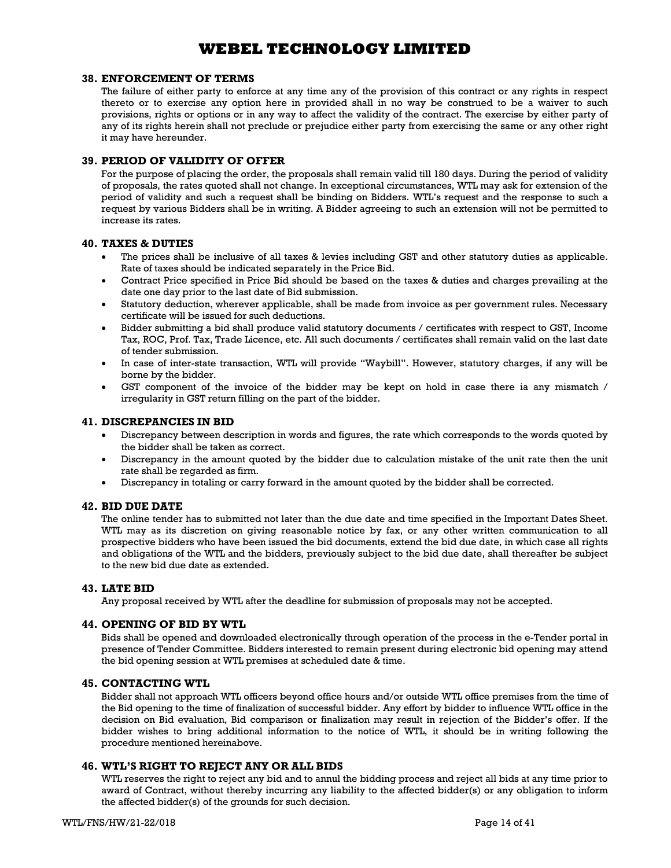### 38. ENFORCEMENT OF TERMS

The failure of either party to enforce at any time any of the provision of this contract or any rights in respect thereto or to exercise any option here in provided shall in no way be construed to be a waiver to such provisions, rights or options or in any way to affect the validity of the contract. The exercise by either party of any of its rights herein shall not preclude or prejudice either party from exercising the same or any other right it may have hereunder.

### 39. PERIOD OF VALIDITY OF OFFER

For the purpose of placing the order, the proposals shall remain valid till 180 days. During the period of validity of proposals, the rates quoted shall not change. In exceptional circumstances, WTL may ask for extension of the period of validity and such a request shall be binding on Bidders. WTL's request and the response to such a request by various Bidders shall be in writing. A Bidder agreeing to such an extension will not be permitted to increase its rates.

### 40. TAXES & DUTIES

- The prices shall be inclusive of all taxes & levies including GST and other statutory duties as applicable. Rate of taxes should be indicated separately in the Price Bid.
- Contract Price specified in Price Bid should be based on the taxes & duties and charges prevailing at the date one day prior to the last date of Bid submission.
- Statutory deduction, wherever applicable, shall be made from invoice as per government rules. Necessary certificate will be issued for such deductions.
- Bidder submitting a bid shall produce valid statutory documents / certificates with respect to GST, Income Tax, ROC, Prof. Tax, Trade Licence, etc. All such documents / certificates shall remain valid on the last date of tender submission.
- In case of inter-state transaction, WTL will provide "Waybill". However, statutory charges, if any will be borne by the bidder.
- GST component of the invoice of the bidder may be kept on hold in case there ia any mismatch / irregularity in GST return filling on the part of the bidder.

#### 41. DISCREPANCIES IN BID

- Discrepancy between description in words and figures, the rate which corresponds to the words quoted by the bidder shall be taken as correct.
- Discrepancy in the amount quoted by the bidder due to calculation mistake of the unit rate then the unit rate shall be regarded as firm.
- Discrepancy in totaling or carry forward in the amount quoted by the bidder shall be corrected.

### 42. BID DUE DATE

The online tender has to submitted not later than the due date and time specified in the Important Dates Sheet. WTL may as its discretion on giving reasonable notice by fax, or any other written communication to all prospective bidders who have been issued the bid documents, extend the bid due date, in which case all rights and obligations of the WTL and the bidders, previously subject to the bid due date, shall thereafter be subject to the new bid due date as extended.

#### 43. LATE BID

Any proposal received by WTL after the deadline for submission of proposals may not be accepted.

### 44. OPENING OF BID BY WTL

Bids shall be opened and downloaded electronically through operation of the process in the e-Tender portal in presence of Tender Committee. Bidders interested to remain present during electronic bid opening may attend the bid opening session at WTL premises at scheduled date & time.

### 45. CONTACTING WTL

Bidder shall not approach WTL officers beyond office hours and/or outside WTL office premises from the time of the Bid opening to the time of finalization of successful bidder. Any effort by bidder to influence WTL office in the decision on Bid evaluation, Bid comparison or finalization may result in rejection of the Bidder's offer. If the bidder wishes to bring additional information to the notice of WTL, it should be in writing following the procedure mentioned hereinabove.

### 46. WTL'S RIGHT TO REJECT ANY OR ALL BIDS

WTL reserves the right to reject any bid and to annul the bidding process and reject all bids at any time prior to award of Contract, without thereby incurring any liability to the affected bidder(s) or any obligation to inform the affected bidder(s) of the grounds for such decision.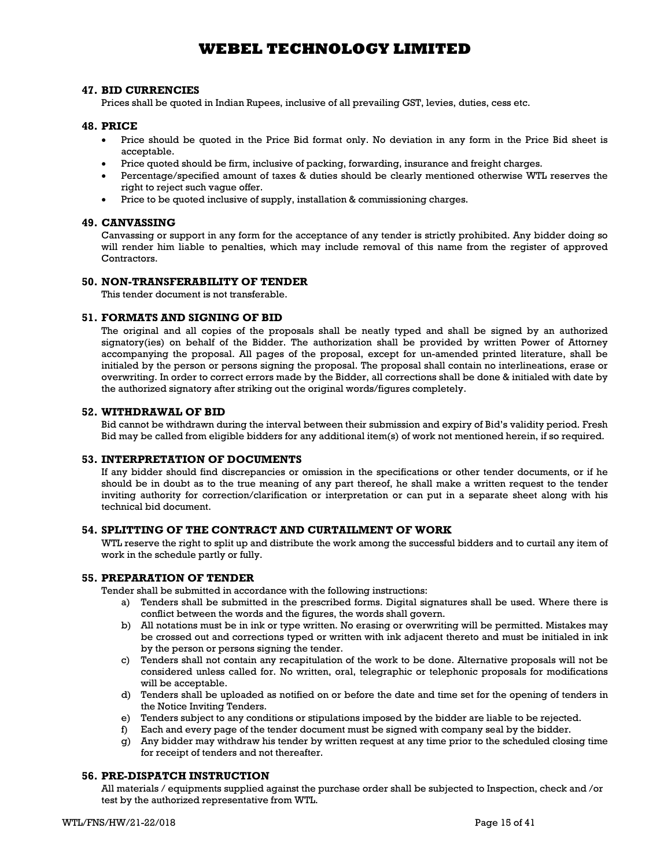### 47. BID CURRENCIES

Prices shall be quoted in Indian Rupees, inclusive of all prevailing GST, levies, duties, cess etc.

### 48. PRICE

- Price should be quoted in the Price Bid format only. No deviation in any form in the Price Bid sheet is acceptable.
- Price quoted should be firm, inclusive of packing, forwarding, insurance and freight charges.
- Percentage/specified amount of taxes & duties should be clearly mentioned otherwise WTL reserves the right to reject such vague offer.
- Price to be quoted inclusive of supply, installation & commissioning charges.

### 49. CANVASSING

Canvassing or support in any form for the acceptance of any tender is strictly prohibited. Any bidder doing so will render him liable to penalties, which may include removal of this name from the register of approved **Contractors** 

### 50. NON-TRANSFERABILITY OF TENDER

This tender document is not transferable.

#### 51. FORMATS AND SIGNING OF BID

The original and all copies of the proposals shall be neatly typed and shall be signed by an authorized signatory(ies) on behalf of the Bidder. The authorization shall be provided by written Power of Attorney accompanying the proposal. All pages of the proposal, except for un-amended printed literature, shall be initialed by the person or persons signing the proposal. The proposal shall contain no interlineations, erase or overwriting. In order to correct errors made by the Bidder, all corrections shall be done & initialed with date by the authorized signatory after striking out the original words/figures completely.

#### 52. WITHDRAWAL OF BID

Bid cannot be withdrawn during the interval between their submission and expiry of Bid's validity period. Fresh Bid may be called from eligible bidders for any additional item(s) of work not mentioned herein, if so required.

### 53. INTERPRETATION OF DOCUMENTS

If any bidder should find discrepancies or omission in the specifications or other tender documents, or if he should be in doubt as to the true meaning of any part thereof, he shall make a written request to the tender inviting authority for correction/clarification or interpretation or can put in a separate sheet along with his technical bid document.

### 54. SPLITTING OF THE CONTRACT AND CURTAILMENT OF WORK

WTL reserve the right to split up and distribute the work among the successful bidders and to curtail any item of work in the schedule partly or fully.

### 55. PREPARATION OF TENDER

Tender shall be submitted in accordance with the following instructions:

- a) Tenders shall be submitted in the prescribed forms. Digital signatures shall be used. Where there is conflict between the words and the figures, the words shall govern.
- b) All notations must be in ink or type written. No erasing or overwriting will be permitted. Mistakes may be crossed out and corrections typed or written with ink adjacent thereto and must be initialed in ink by the person or persons signing the tender.
- c) Tenders shall not contain any recapitulation of the work to be done. Alternative proposals will not be considered unless called for. No written, oral, telegraphic or telephonic proposals for modifications will be acceptable.
- d) Tenders shall be uploaded as notified on or before the date and time set for the opening of tenders in the Notice Inviting Tenders.
- e) Tenders subject to any conditions or stipulations imposed by the bidder are liable to be rejected.
- f) Each and every page of the tender document must be signed with company seal by the bidder.
- g) Any bidder may withdraw his tender by written request at any time prior to the scheduled closing time for receipt of tenders and not thereafter.

### 56. PRE-DISPATCH INSTRUCTION

All materials / equipments supplied against the purchase order shall be subjected to Inspection, check and /or test by the authorized representative from WTL.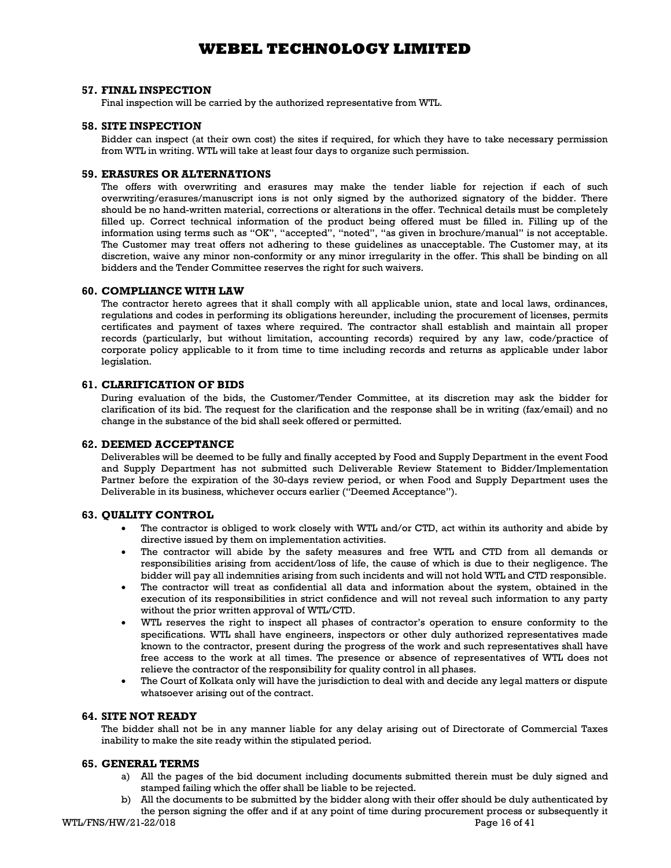#### 57. FINAL INSPECTION

Final inspection will be carried by the authorized representative from WTL.

### 58. SITE INSPECTION

Bidder can inspect (at their own cost) the sites if required, for which they have to take necessary permission from WTL in writing. WTL will take at least four days to organize such permission.

### 59. ERASURES OR ALTERNATIONS

The offers with overwriting and erasures may make the tender liable for rejection if each of such overwriting/erasures/manuscript ions is not only signed by the authorized signatory of the bidder. There should be no hand-written material, corrections or alterations in the offer. Technical details must be completely filled up. Correct technical information of the product being offered must be filled in. Filling up of the information using terms such as "OK", "accepted", "noted", "as given in brochure/manual" is not acceptable. The Customer may treat offers not adhering to these guidelines as unacceptable. The Customer may, at its discretion, waive any minor non-conformity or any minor irregularity in the offer. This shall be binding on all bidders and the Tender Committee reserves the right for such waivers.

#### 60. COMPLIANCE WITH LAW

The contractor hereto agrees that it shall comply with all applicable union, state and local laws, ordinances, regulations and codes in performing its obligations hereunder, including the procurement of licenses, permits certificates and payment of taxes where required. The contractor shall establish and maintain all proper records (particularly, but without limitation, accounting records) required by any law, code/practice of corporate policy applicable to it from time to time including records and returns as applicable under labor legislation.

### 61. CLARIFICATION OF BIDS

During evaluation of the bids, the Customer/Tender Committee, at its discretion may ask the bidder for clarification of its bid. The request for the clarification and the response shall be in writing (fax/email) and no change in the substance of the bid shall seek offered or permitted.

### 62. DEEMED ACCEPTANCE

Deliverables will be deemed to be fully and finally accepted by Food and Supply Department in the event Food and Supply Department has not submitted such Deliverable Review Statement to Bidder/Implementation Partner before the expiration of the 30-days review period, or when Food and Supply Department uses the Deliverable in its business, whichever occurs earlier ("Deemed Acceptance").

### 63. QUALITY CONTROL

- The contractor is obliged to work closely with WTL and/or CTD, act within its authority and abide by directive issued by them on implementation activities.
- The contractor will abide by the safety measures and free WTL and CTD from all demands or responsibilities arising from accident/loss of life, the cause of which is due to their negligence. The bidder will pay all indemnities arising from such incidents and will not hold WTL and CTD responsible.
- The contractor will treat as confidential all data and information about the system, obtained in the execution of its responsibilities in strict confidence and will not reveal such information to any party without the prior written approval of WTL/CTD.
- WTL reserves the right to inspect all phases of contractor's operation to ensure conformity to the specifications. WTL shall have engineers, inspectors or other duly authorized representatives made known to the contractor, present during the progress of the work and such representatives shall have free access to the work at all times. The presence or absence of representatives of WTL does not relieve the contractor of the responsibility for quality control in all phases.
- The Court of Kolkata only will have the jurisdiction to deal with and decide any legal matters or dispute whatsoever arising out of the contract.

### 64. SITE NOT READY

The bidder shall not be in any manner liable for any delay arising out of Directorate of Commercial Taxes inability to make the site ready within the stipulated period.

#### 65. GENERAL TERMS

- a) All the pages of the bid document including documents submitted therein must be duly signed and stamped failing which the offer shall be liable to be rejected.
- b) All the documents to be submitted by the bidder along with their offer should be duly authenticated by the person signing the offer and if at any point of time during procurement process or subsequently it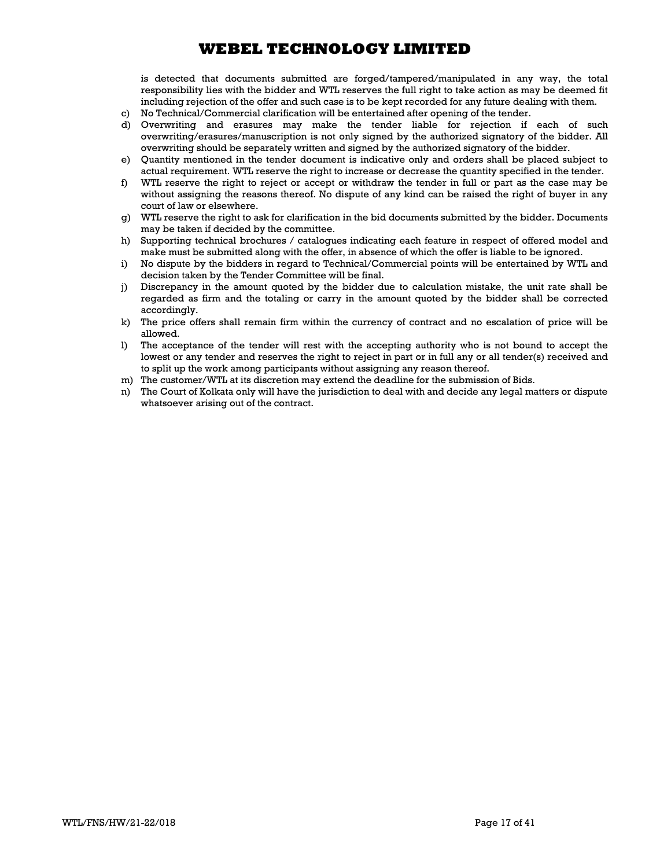is detected that documents submitted are forged/tampered/manipulated in any way, the total responsibility lies with the bidder and WTL reserves the full right to take action as may be deemed fit including rejection of the offer and such case is to be kept recorded for any future dealing with them.

- c) No Technical/Commercial clarification will be entertained after opening of the tender.
- d) Overwriting and erasures may make the tender liable for rejection if each of such overwriting/erasures/manuscription is not only signed by the authorized signatory of the bidder. All overwriting should be separately written and signed by the authorized signatory of the bidder.
- e) Quantity mentioned in the tender document is indicative only and orders shall be placed subject to actual requirement. WTL reserve the right to increase or decrease the quantity specified in the tender.
- f) WTL reserve the right to reject or accept or withdraw the tender in full or part as the case may be without assigning the reasons thereof. No dispute of any kind can be raised the right of buyer in any court of law or elsewhere.
- g) WTL reserve the right to ask for clarification in the bid documents submitted by the bidder. Documents may be taken if decided by the committee.
- h) Supporting technical brochures / catalogues indicating each feature in respect of offered model and make must be submitted along with the offer, in absence of which the offer is liable to be ignored.
- i) No dispute by the bidders in regard to Technical/Commercial points will be entertained by WTL and decision taken by the Tender Committee will be final.
- j) Discrepancy in the amount quoted by the bidder due to calculation mistake, the unit rate shall be regarded as firm and the totaling or carry in the amount quoted by the bidder shall be corrected accordingly.
- k) The price offers shall remain firm within the currency of contract and no escalation of price will be allowed.
- l) The acceptance of the tender will rest with the accepting authority who is not bound to accept the lowest or any tender and reserves the right to reject in part or in full any or all tender(s) received and to split up the work among participants without assigning any reason thereof.
- m) The customer/WTL at its discretion may extend the deadline for the submission of Bids.
- n) The Court of Kolkata only will have the jurisdiction to deal with and decide any legal matters or dispute whatsoever arising out of the contract.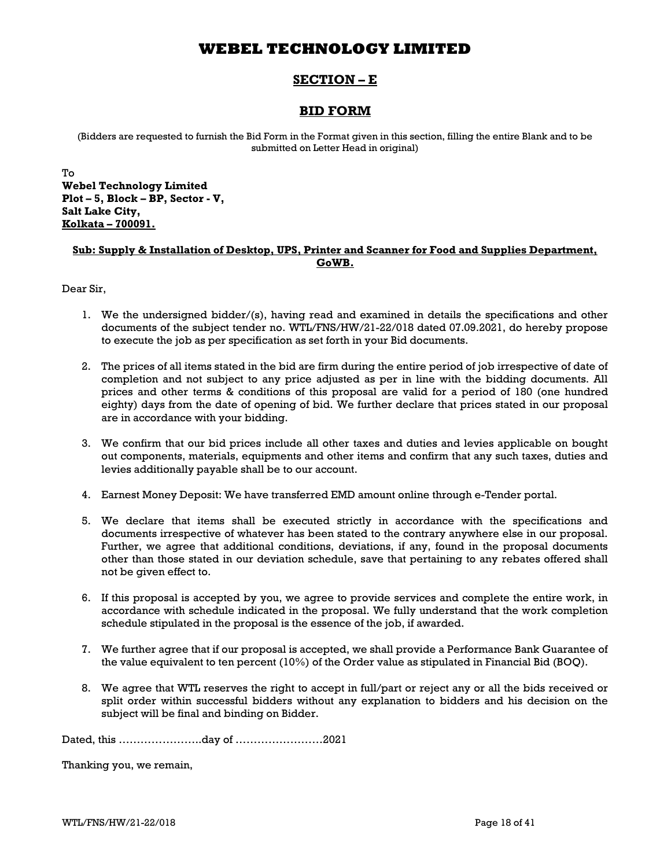## SECTION – E

## BID FORM

(Bidders are requested to furnish the Bid Form in the Format given in this section, filling the entire Blank and to be submitted on Letter Head in original)

To Webel Technology Limited Plot – 5, Block – BP, Sector - V, Salt Lake City, Kolkata – 700091.

### Sub: Supply & Installation of Desktop, UPS, Printer and Scanner for Food and Supplies Department, GoWB.

Dear Sir,

- 1. We the undersigned bidder/(s), having read and examined in details the specifications and other documents of the subject tender no. WTL/FNS/HW/21-22/018 dated 07.09.2021, do hereby propose to execute the job as per specification as set forth in your Bid documents.
- 2. The prices of all items stated in the bid are firm during the entire period of job irrespective of date of completion and not subject to any price adjusted as per in line with the bidding documents. All prices and other terms & conditions of this proposal are valid for a period of 180 (one hundred eighty) days from the date of opening of bid. We further declare that prices stated in our proposal are in accordance with your bidding.
- 3. We confirm that our bid prices include all other taxes and duties and levies applicable on bought out components, materials, equipments and other items and confirm that any such taxes, duties and levies additionally payable shall be to our account.
- 4. Earnest Money Deposit: We have transferred EMD amount online through e-Tender portal.
- 5. We declare that items shall be executed strictly in accordance with the specifications and documents irrespective of whatever has been stated to the contrary anywhere else in our proposal. Further, we agree that additional conditions, deviations, if any, found in the proposal documents other than those stated in our deviation schedule, save that pertaining to any rebates offered shall not be given effect to.
- 6. If this proposal is accepted by you, we agree to provide services and complete the entire work, in accordance with schedule indicated in the proposal. We fully understand that the work completion schedule stipulated in the proposal is the essence of the job, if awarded.
- 7. We further agree that if our proposal is accepted, we shall provide a Performance Bank Guarantee of the value equivalent to ten percent (10%) of the Order value as stipulated in Financial Bid (BOQ).
- 8. We agree that WTL reserves the right to accept in full/part or reject any or all the bids received or split order within successful bidders without any explanation to bidders and his decision on the subject will be final and binding on Bidder.

Dated, this …………………..day of ……………………2021

Thanking you, we remain,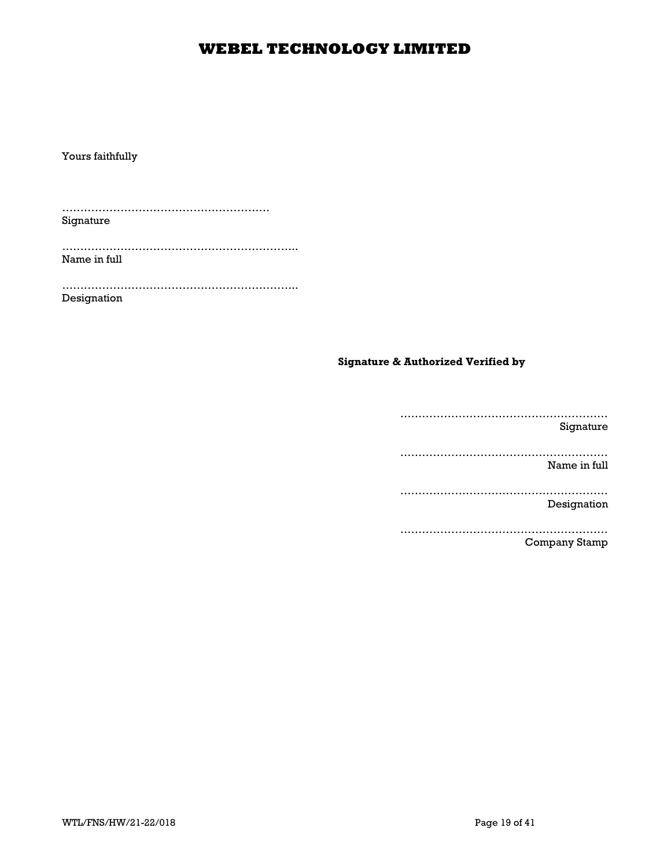Yours faithfully

………………………………………………… Signature

……………………………………………………….. Name in full

……………………………………………………….. Designation

### Signature & Authorized Verified by

………………………………………………… Signature ………………………………………………… Name in full ………………………………………………… Designation ………………………………………………… Company Stamp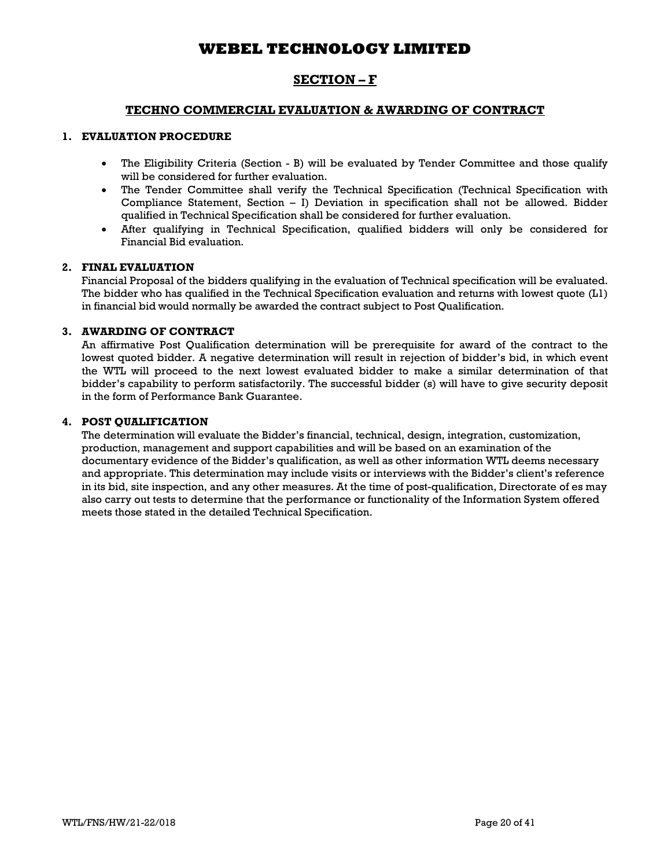## SECTION – F

### TECHNO COMMERCIAL EVALUATION & AWARDING OF CONTRACT

### 1. EVALUATION PROCEDURE

- The Eligibility Criteria (Section B) will be evaluated by Tender Committee and those qualify will be considered for further evaluation.
- The Tender Committee shall verify the Technical Specification (Technical Specification with Compliance Statement, Section – I) Deviation in specification shall not be allowed. Bidder qualified in Technical Specification shall be considered for further evaluation.
- After qualifying in Technical Specification, qualified bidders will only be considered for Financial Bid evaluation.

### 2. FINAL EVALUATION

Financial Proposal of the bidders qualifying in the evaluation of Technical specification will be evaluated. The bidder who has qualified in the Technical Specification evaluation and returns with lowest quote (L1) in financial bid would normally be awarded the contract subject to Post Qualification.

### 3. AWARDING OF CONTRACT

An affirmative Post Qualification determination will be prerequisite for award of the contract to the lowest quoted bidder. A negative determination will result in rejection of bidder's bid, in which event the WTL will proceed to the next lowest evaluated bidder to make a similar determination of that bidder's capability to perform satisfactorily. The successful bidder (s) will have to give security deposit in the form of Performance Bank Guarantee.

### 4. POST QUALIFICATION

The determination will evaluate the Bidder's financial, technical, design, integration, customization, production, management and support capabilities and will be based on an examination of the documentary evidence of the Bidder's qualification, as well as other information WTL deems necessary and appropriate. This determination may include visits or interviews with the Bidder's client's reference in its bid, site inspection, and any other measures. At the time of post-qualification, Directorate of es may also carry out tests to determine that the performance or functionality of the Information System offered meets those stated in the detailed Technical Specification.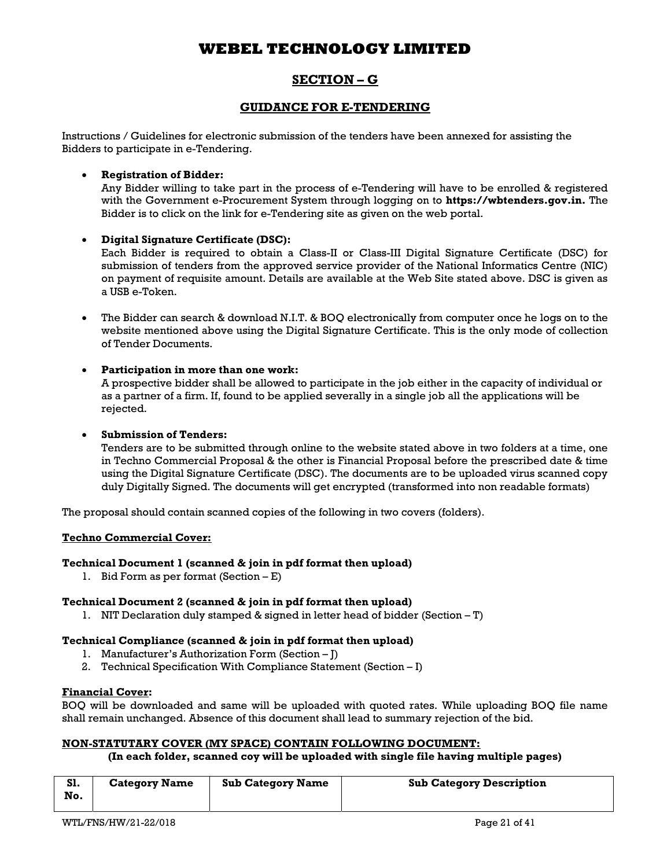## SECTION – G

## GUIDANCE FOR E-TENDERING

Instructions / Guidelines for electronic submission of the tenders have been annexed for assisting the Bidders to participate in e-Tendering.

### Registration of Bidder:

Any Bidder willing to take part in the process of e-Tendering will have to be enrolled & registered with the Government e-Procurement System through logging on to https://wbtenders.gov.in. The Bidder is to click on the link for e-Tendering site as given on the web portal.

### Digital Signature Certificate (DSC):

Each Bidder is required to obtain a Class-II or Class-III Digital Signature Certificate (DSC) for submission of tenders from the approved service provider of the National Informatics Centre (NIC) on payment of requisite amount. Details are available at the Web Site stated above. DSC is given as a USB e-Token.

 The Bidder can search & download N.I.T. & BOQ electronically from computer once he logs on to the website mentioned above using the Digital Signature Certificate. This is the only mode of collection of Tender Documents.

### Participation in more than one work:

A prospective bidder shall be allowed to participate in the job either in the capacity of individual or as a partner of a firm. If, found to be applied severally in a single job all the applications will be rejected.

### Submission of Tenders:

Tenders are to be submitted through online to the website stated above in two folders at a time, one in Techno Commercial Proposal & the other is Financial Proposal before the prescribed date & time using the Digital Signature Certificate (DSC). The documents are to be uploaded virus scanned copy duly Digitally Signed. The documents will get encrypted (transformed into non readable formats)

The proposal should contain scanned copies of the following in two covers (folders).

### Techno Commercial Cover:

### Technical Document 1 (scanned & join in pdf format then upload)

1. Bid Form as per format (Section – E)

### Technical Document 2 (scanned & join in pdf format then upload)

1. NIT Declaration duly stamped & signed in letter head of bidder (Section – T)

### Technical Compliance (scanned & join in pdf format then upload)

- 1. Manufacturer's Authorization Form (Section J)
- 2. Technical Specification With Compliance Statement (Section I)

### Financial Cover:

BOQ will be downloaded and same will be uploaded with quoted rates. While uploading BOQ file name shall remain unchanged. Absence of this document shall lead to summary rejection of the bid.

### NON-STATUTARY COVER (MY SPACE) CONTAIN FOLLOWING DOCUMENT:

### (In each folder, scanned coy will be uploaded with single file having multiple pages)

| . וכ<br>No. | <b>Category Name</b> | <b>Sub Category Name</b> | <b>Sub Category Description</b> |
|-------------|----------------------|--------------------------|---------------------------------|
|             |                      |                          |                                 |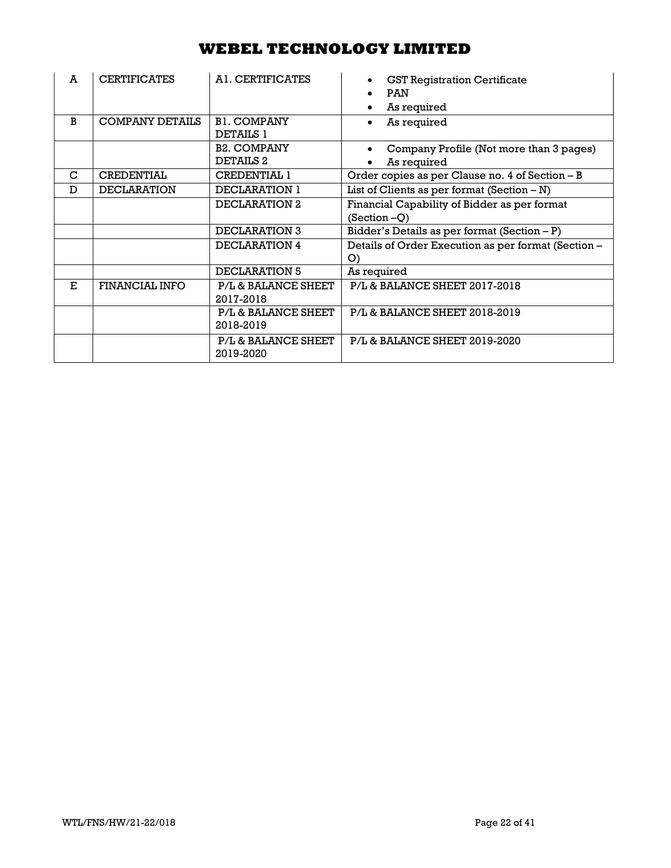| A | <b>CERTIFICATES</b>    | A1. CERTIFICATES                       | <b>GST Registration Certificate</b><br><b>PAN</b><br>As required |
|---|------------------------|----------------------------------------|------------------------------------------------------------------|
| B | <b>COMPANY DETAILS</b> | <b>B1. COMPANY</b><br><b>DETAILS 1</b> | As required                                                      |
|   |                        | <b>B2. COMPANY</b><br>DETAILS 2        | Company Profile (Not more than 3 pages)<br>As required           |
| C | <b>CREDENTIAL</b>      | <b>CREDENTIAL 1</b>                    | Order copies as per Clause no. 4 of Section - B                  |
| D | <b>DECLARATION</b>     | DECLARATION 1                          | List of Clients as per format $(Section - N)$                    |
|   |                        | DECLARATION 2                          | Financial Capability of Bidder as per format<br>$(Section -Q)$   |
|   |                        | DECLARATION 3                          | Bidder's Details as per format $(Section - P)$                   |
|   |                        | DECLARATION 4                          | Details of Order Execution as per format (Section -<br>O         |
|   |                        | DECLARATION 5                          | As required                                                      |
| E | <b>FINANCIAL INFO</b>  | P/L & BALANCE SHEET<br>2017-2018       | P/L & BALANCE SHEET 2017-2018                                    |
|   |                        | P/L & BALANCE SHEET<br>2018-2019       | P/L & BALANCE SHEET 2018-2019                                    |
|   |                        | P/L & BALANCE SHEET<br>2019-2020       | P/L & BALANCE SHEET 2019-2020                                    |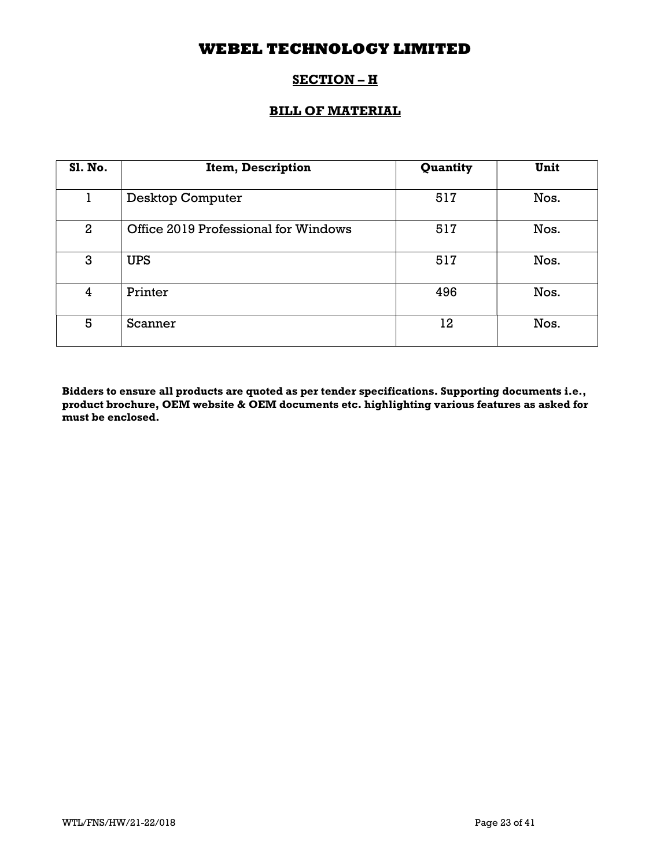# SECTION – H

## BILL OF MATERIAL

| <b>S1. No.</b> | Item, Description                    | Quantity | Unit |
|----------------|--------------------------------------|----------|------|
|                | <b>Desktop Computer</b>              | 517      | Nos. |
| $\overline{2}$ | Office 2019 Professional for Windows | 517      | Nos. |
| 3              | <b>UPS</b>                           | 517      | Nos. |
| 4              | Printer                              | 496      | Nos. |
| 5              | Scanner                              | 12       | Nos. |

Bidders to ensure all products are quoted as per tender specifications. Supporting documents i.e., product brochure, OEM website & OEM documents etc. highlighting various features as asked for must be enclosed.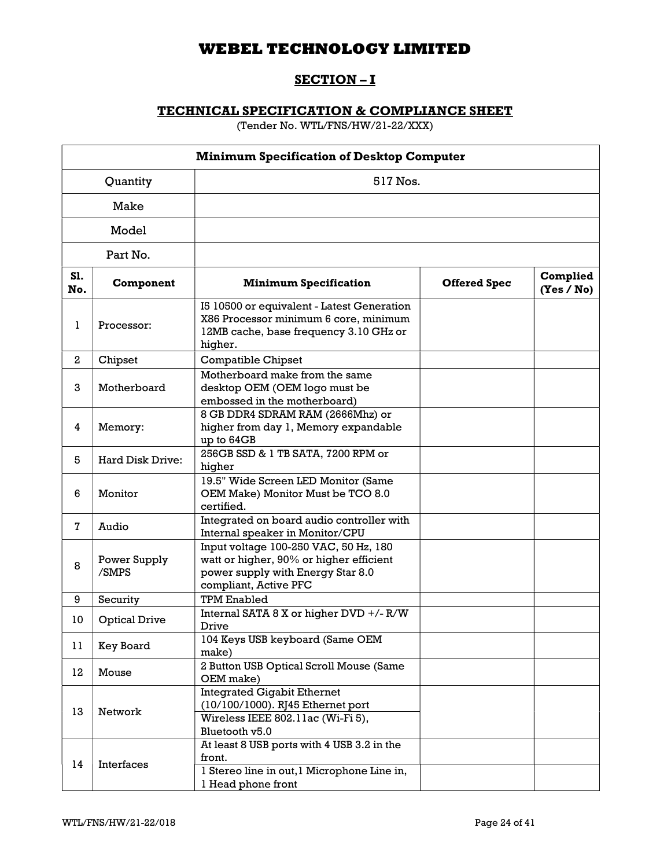# SECTION-I

# TECHNICAL SPECIFICATION & COMPLIANCE SHEET

(Tender No. WTL/FNS/HW/21-22/XXX)

|              |                         | <b>Minimum Specification of Desktop Computer</b>                                                                                               |                     |                        |  |  |
|--------------|-------------------------|------------------------------------------------------------------------------------------------------------------------------------------------|---------------------|------------------------|--|--|
|              | Quantity<br>517 Nos.    |                                                                                                                                                |                     |                        |  |  |
|              | Make                    |                                                                                                                                                |                     |                        |  |  |
|              | Model                   |                                                                                                                                                |                     |                        |  |  |
|              | Part No.                |                                                                                                                                                |                     |                        |  |  |
| S1.<br>No.   | Component               | <b>Minimum Specification</b>                                                                                                                   | <b>Offered Spec</b> | Complied<br>(Yes / No) |  |  |
| 1            | Processor:              | I5 10500 or equivalent - Latest Generation<br>X86 Processor minimum 6 core, minimum<br>12MB cache, base frequency 3.10 GHz or<br>higher.       |                     |                        |  |  |
| $\mathbf{2}$ | Chipset                 | <b>Compatible Chipset</b>                                                                                                                      |                     |                        |  |  |
| 3            | Motherboard             | Motherboard make from the same<br>desktop OEM (OEM logo must be<br>embossed in the motherboard)                                                |                     |                        |  |  |
| 4            | Memory:                 | 8 GB DDR4 SDRAM RAM (2666Mhz) or<br>higher from day 1, Memory expandable<br>up to 64GB                                                         |                     |                        |  |  |
| 5            | <b>Hard Disk Drive:</b> | 256GB SSD & 1 TB SATA, 7200 RPM or<br>higher                                                                                                   |                     |                        |  |  |
| 6            | Monitor                 | 19.5" Wide Screen LED Monitor (Same<br>OEM Make) Monitor Must be TCO 8.0<br>certified.                                                         |                     |                        |  |  |
| $\mathbf{7}$ | Audio                   | Integrated on board audio controller with<br>Internal speaker in Monitor/CPU                                                                   |                     |                        |  |  |
| 8            | Power Supply<br>/SMPS   | Input voltage 100-250 VAC, 50 Hz, 180<br>watt or higher, 90% or higher efficient<br>power supply with Energy Star 8.0<br>compliant, Active PFC |                     |                        |  |  |
| 9            | Security                | <b>TPM Enabled</b>                                                                                                                             |                     |                        |  |  |
| 10           | <b>Optical Drive</b>    | Internal SATA 8 X or higher DVD +/- R/W<br>Drive                                                                                               |                     |                        |  |  |
| 11           | Key Board               | 104 Keys USB keyboard (Same OEM<br>make)                                                                                                       |                     |                        |  |  |
| 12           | Mouse                   | 2 Button USB Optical Scroll Mouse (Same<br>OEM make)                                                                                           |                     |                        |  |  |
| 13           | Network                 | <b>Integrated Gigabit Ethernet</b><br>(10/100/1000). RJ45 Ethernet port<br>Wireless IEEE 802.11ac (Wi-Fi 5),<br>Bluetooth v5.0                 |                     |                        |  |  |
| 14           | Interfaces              | At least 8 USB ports with 4 USB 3.2 in the<br>front.<br>l Stereo line in out, l Microphone Line in,<br>1 Head phone front                      |                     |                        |  |  |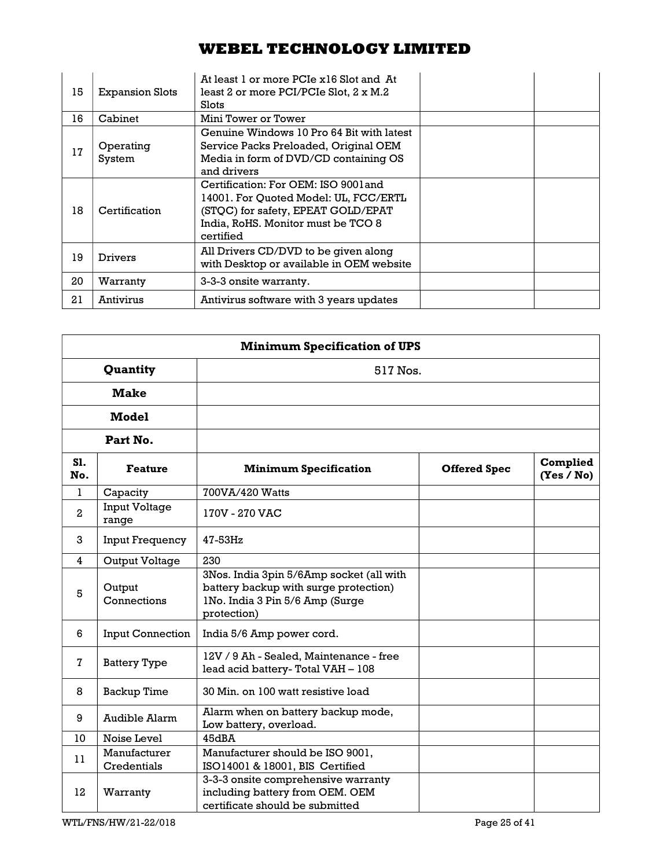| 15 | <b>Expansion Slots</b> | At least 1 or more PCIe x16 Slot and At<br>least 2 or more PCI/PCIe Slot, 2 x M.2<br>Slots                                                                             |  |
|----|------------------------|------------------------------------------------------------------------------------------------------------------------------------------------------------------------|--|
| 16 | Cabinet                | Mini Tower or Tower                                                                                                                                                    |  |
| 17 | Operating<br>System    | Genuine Windows 10 Pro 64 Bit with latest<br>Service Packs Preloaded, Original OEM<br>Media in form of DVD/CD containing OS<br>and drivers                             |  |
| 18 | Certification          | Certification: For OEM: ISO 9001 and<br>14001. For Quoted Model: UL, FCC/ERTL<br>(STQC) for safety, EPEAT GOLD/EPAT<br>India, RoHS. Monitor must be TCO 8<br>certified |  |
| 19 | <b>Drivers</b>         | All Drivers CD/DVD to be given along<br>with Desktop or available in OEM website                                                                                       |  |
| 20 | Warranty               | 3-3-3 onsite warranty.                                                                                                                                                 |  |
| 21 | Antivirus              | Antivirus software with 3 years updates                                                                                                                                |  |

|                      | <b>Minimum Specification of UPS</b> |                                                                                                                                     |                     |                        |
|----------------------|-------------------------------------|-------------------------------------------------------------------------------------------------------------------------------------|---------------------|------------------------|
| Quantity<br>517 Nos. |                                     |                                                                                                                                     |                     |                        |
|                      | <b>Make</b>                         |                                                                                                                                     |                     |                        |
|                      | <b>Model</b>                        |                                                                                                                                     |                     |                        |
|                      | Part No.                            |                                                                                                                                     |                     |                        |
| S1.<br>No.           | <b>Feature</b>                      | <b>Minimum Specification</b>                                                                                                        | <b>Offered Spec</b> | Complied<br>(Yes / No) |
| 1.                   | Capacity                            | 700VA/420 Watts                                                                                                                     |                     |                        |
| 2                    | <b>Input Voltage</b><br>range       | 170V - 270 VAC                                                                                                                      |                     |                        |
| 3                    | <b>Input Frequency</b>              | 47-53Hz                                                                                                                             |                     |                        |
| 4                    | <b>Output Voltage</b>               | 230                                                                                                                                 |                     |                        |
| 5                    | Output<br>Connections               | 3Nos. India 3pin 5/6Amp socket (all with<br>battery backup with surge protection)<br>INo. India 3 Pin 5/6 Amp (Surge<br>protection) |                     |                        |
| 6                    | <b>Input Connection</b>             | India 5/6 Amp power cord.                                                                                                           |                     |                        |
| $\overline{7}$       | <b>Battery Type</b>                 | 12V / 9 Ah - Sealed, Maintenance - free<br>lead acid battery-Total VAH - 108                                                        |                     |                        |
| 8                    | <b>Backup Time</b>                  | 30 Min. on 100 watt resistive load                                                                                                  |                     |                        |
| 9                    | Audible Alarm                       | Alarm when on battery backup mode,<br>Low battery, overload.                                                                        |                     |                        |
| 10                   | Noise Level                         | 45dBA                                                                                                                               |                     |                        |
| 11                   | Manufacturer<br>Credentials         | Manufacturer should be ISO 9001,<br>ISO14001 & 18001, BIS Certified                                                                 |                     |                        |
| 12                   | Warranty                            | 3-3-3 onsite comprehensive warranty<br>including battery from OEM. OEM<br>certificate should be submitted                           |                     |                        |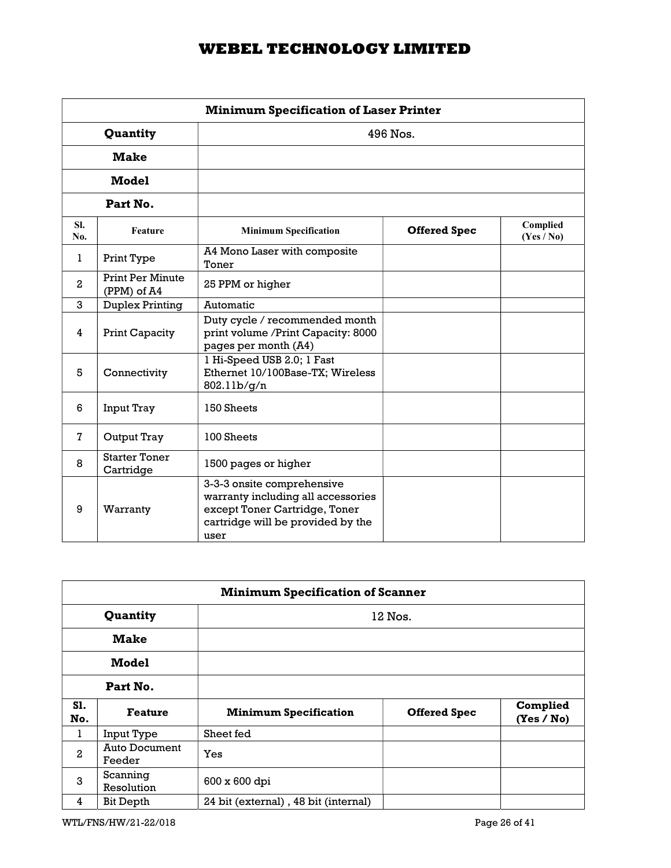| <b>Minimum Specification of Laser Printer</b> |                                        |                                                                                                                                                |                     |                        |  |
|-----------------------------------------------|----------------------------------------|------------------------------------------------------------------------------------------------------------------------------------------------|---------------------|------------------------|--|
|                                               | Quantity<br>$496$ Nos.                 |                                                                                                                                                |                     |                        |  |
|                                               | <b>Make</b>                            |                                                                                                                                                |                     |                        |  |
|                                               | <b>Model</b>                           |                                                                                                                                                |                     |                        |  |
|                                               | Part No.                               |                                                                                                                                                |                     |                        |  |
| SI.<br>No.                                    | Feature                                | <b>Minimum Specification</b>                                                                                                                   | <b>Offered Spec</b> | Complied<br>(Yes / No) |  |
| 1.                                            | Print Type                             | A4 Mono Laser with composite<br>Toner                                                                                                          |                     |                        |  |
| $\mathbf{2}$                                  | <b>Print Per Minute</b><br>(PPM) of A4 | 25 PPM or higher                                                                                                                               |                     |                        |  |
| 3                                             | <b>Duplex Printing</b>                 | Automatic                                                                                                                                      |                     |                        |  |
| 4                                             | Print Capacity                         | Duty cycle / recommended month<br>print volume / Print Capacity: 8000<br>pages per month (A4)                                                  |                     |                        |  |
| 5                                             | Connectivity                           | 1 Hi-Speed USB 2.0; 1 Fast<br>Ethernet 10/100Base-TX; Wireless<br>802.11b/g/n                                                                  |                     |                        |  |
| 6                                             | <b>Input Tray</b>                      | 150 Sheets                                                                                                                                     |                     |                        |  |
| 7                                             | Output Tray                            | 100 Sheets                                                                                                                                     |                     |                        |  |
| 8                                             | <b>Starter Toner</b><br>Cartridge      | 1500 pages or higher                                                                                                                           |                     |                        |  |
| 9                                             | Warranty                               | 3-3-3 onsite comprehensive<br>warranty including all accessories<br>except Toner Cartridge, Toner<br>cartridge will be provided by the<br>user |                     |                        |  |

|                   | <b>Minimum Specification of Scanner</b> |                                      |                     |                        |  |  |
|-------------------|-----------------------------------------|--------------------------------------|---------------------|------------------------|--|--|
|                   | Quantity                                |                                      | 12 Nos.             |                        |  |  |
| <b>Make</b>       |                                         |                                      |                     |                        |  |  |
| <b>Model</b>      |                                         |                                      |                     |                        |  |  |
|                   | Part No.                                |                                      |                     |                        |  |  |
| <b>S1.</b><br>No. | <b>Feature</b>                          | <b>Minimum Specification</b>         | <b>Offered Spec</b> | Complied<br>(Yes / No) |  |  |
| 1                 | Input Type                              | Sheet fed                            |                     |                        |  |  |
| $\overline{a}$    | Auto Document<br>Feeder                 | Yes                                  |                     |                        |  |  |
| 3                 | Scanning<br>Resolution                  | 600 x 600 dpi                        |                     |                        |  |  |
| 4                 | Bit Depth                               | 24 bit (external), 48 bit (internal) |                     |                        |  |  |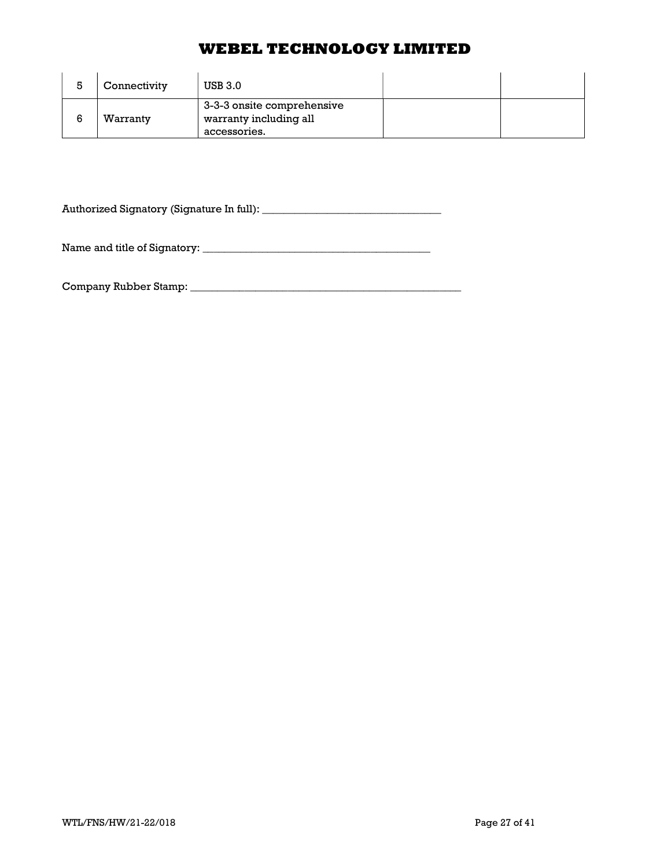| Connectivity | <b>USB 3.0</b>                                                       |  |
|--------------|----------------------------------------------------------------------|--|
| Warranty     | 3-3-3 onsite comprehensive<br>warranty including all<br>accessories. |  |

Authorized Signatory (Signature In full): \_\_\_\_\_\_\_\_\_\_\_\_\_\_\_\_\_\_\_\_\_\_\_\_\_\_\_\_\_\_\_\_\_

Name and title of Signatory: \_\_\_\_\_\_\_\_\_\_\_\_\_\_\_\_\_\_\_\_\_\_\_\_\_\_\_\_\_\_\_\_\_\_\_\_\_\_\_\_\_\_

Company Rubber Stamp: \_\_\_\_\_\_\_\_\_\_\_\_\_\_\_\_\_\_\_\_\_\_\_\_\_\_\_\_\_\_\_\_\_\_\_\_\_\_\_\_\_\_\_\_\_\_\_\_\_\_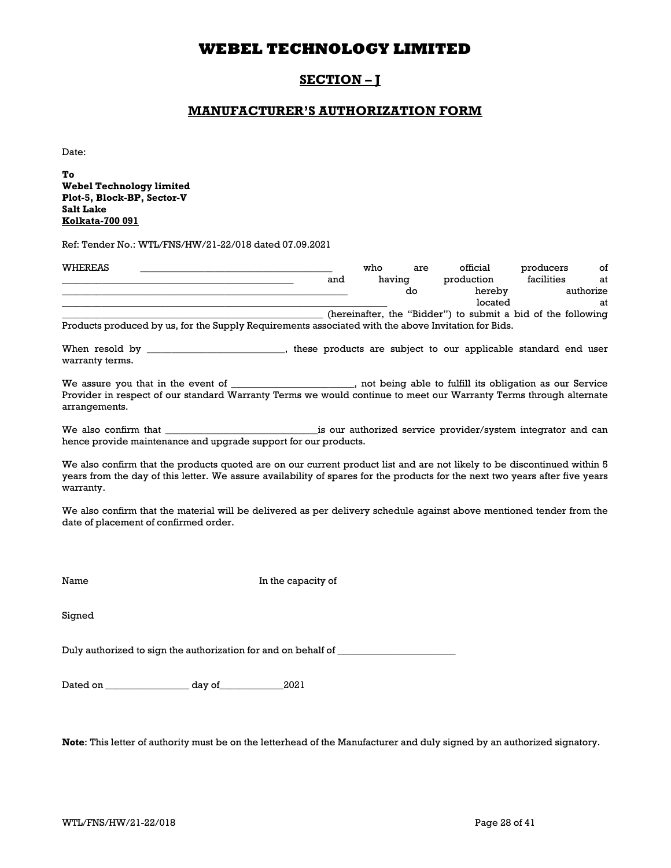## SECTION – J

## MANUFACTURER'S AUTHORIZATION FORM

Date:

To Webel Technology limited Plot-5, Block-BP, Sector-V Salt Lake Kolkata-700 091

Ref: Tender No.: WTL/FNS/HW/21-22/018 dated 07.09.2021

| WHEREAS                                                                                             |     | who    | are | official   | producers  | οf        |
|-----------------------------------------------------------------------------------------------------|-----|--------|-----|------------|------------|-----------|
|                                                                                                     | and | having |     | production | facilities | at        |
|                                                                                                     |     |        | do  | hereby     |            | authorize |
|                                                                                                     |     |        |     | located    |            | at        |
| (hereinafter, the "Bidder") to submit a bid of the following                                        |     |        |     |            |            |           |
| Products produced by us, for the Supply Requirements associated with the above Invitation for Bids. |     |        |     |            |            |           |

When resold by \_\_\_\_\_\_\_\_\_\_\_\_\_\_\_\_\_\_\_\_\_\_\_, these products are subject to our applicable standard end user warranty terms.

We assure you that in the event of \_\_\_\_\_\_\_\_\_\_\_\_\_\_\_\_\_\_\_\_, not being able to fulfill its obligation as our Service Provider in respect of our standard Warranty Terms we would continue to meet our Warranty Terms through alternate arrangements.

We also confirm that \_\_\_\_\_\_\_\_\_\_\_\_\_\_\_\_\_\_\_\_\_\_\_\_\_\_\_\_\_\_\_is our authorized service provider/system integrator and can hence provide maintenance and upgrade support for our products.

We also confirm that the products quoted are on our current product list and are not likely to be discontinued within 5 years from the day of this letter. We assure availability of spares for the products for the next two years after five years warranty.

We also confirm that the material will be delivered as per delivery schedule against above mentioned tender from the date of placement of confirmed order.

Name In the capacity of

Signed

Duly authorized to sign the authorization for and on behalf of \_\_\_\_\_\_\_\_\_\_\_\_\_\_\_\_\_

Dated on \_\_\_\_\_\_\_\_\_\_\_\_\_\_\_\_\_ day of\_\_\_\_\_\_\_\_\_\_\_\_\_2021

Note: This letter of authority must be on the letterhead of the Manufacturer and duly signed by an authorized signatory.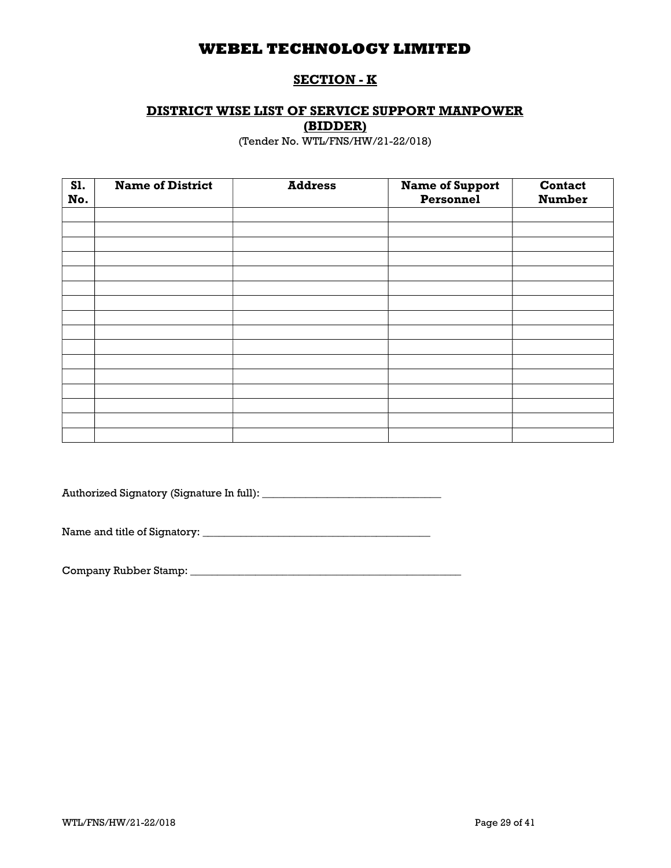## SECTION - K

# DISTRICT WISE LIST OF SERVICE SUPPORT MANPOWER

(BIDDER)

(Tender No. WTL/FNS/HW/21-22/018)

| <b>S1.</b><br>No. | <b>Name of District</b> | <b>Address</b> | <b>Name of Support</b><br>Personnel | Contact<br><b>Number</b> |
|-------------------|-------------------------|----------------|-------------------------------------|--------------------------|
|                   |                         |                |                                     |                          |
|                   |                         |                |                                     |                          |
|                   |                         |                |                                     |                          |
|                   |                         |                |                                     |                          |
|                   |                         |                |                                     |                          |
|                   |                         |                |                                     |                          |
|                   |                         |                |                                     |                          |
|                   |                         |                |                                     |                          |
|                   |                         |                |                                     |                          |
|                   |                         |                |                                     |                          |
|                   |                         |                |                                     |                          |
|                   |                         |                |                                     |                          |
|                   |                         |                |                                     |                          |
|                   |                         |                |                                     |                          |
|                   |                         |                |                                     |                          |
|                   |                         |                |                                     |                          |

Authorized Signatory (Signature In full): \_\_\_\_\_\_\_\_\_\_\_\_\_\_\_\_\_\_\_\_\_\_\_\_\_\_\_\_\_\_\_\_\_

Name and title of Signatory: \_\_\_\_\_\_\_\_\_\_\_\_\_\_\_\_\_\_\_\_\_\_\_\_\_\_\_\_\_\_\_\_\_\_\_\_\_\_\_\_\_\_

Company Rubber Stamp: \_\_\_\_\_\_\_\_\_\_\_\_\_\_\_\_\_\_\_\_\_\_\_\_\_\_\_\_\_\_\_\_\_\_\_\_\_\_\_\_\_\_\_\_\_\_\_\_\_\_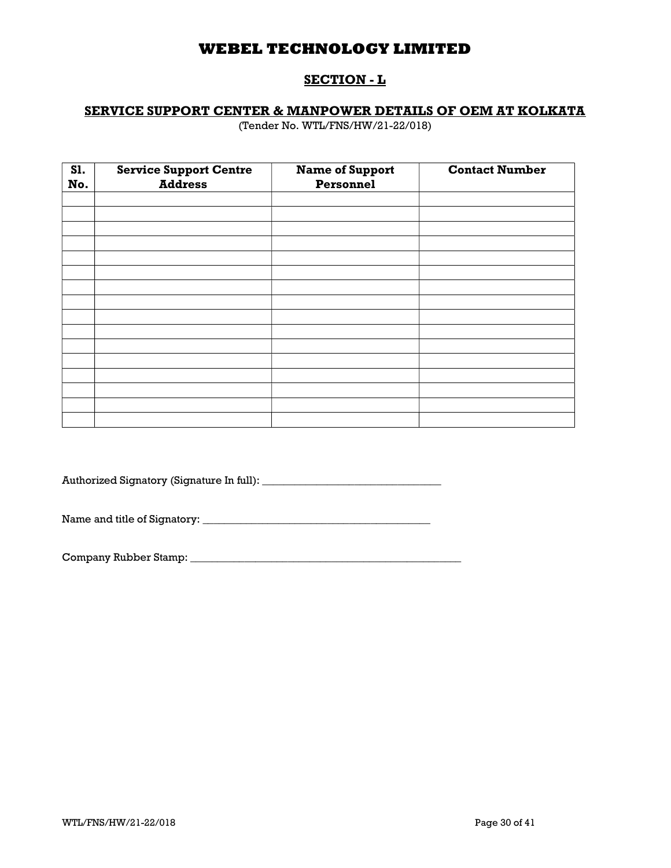## SECTION - L

## SERVICE SUPPORT CENTER & MANPOWER DETAILS OF OEM AT KOLKATA

(Tender No. WTL/FNS/HW/21-22/018)

| S1. | <b>Service Support Centre</b><br><b>Address</b> | <b>Name of Support</b><br>Personnel | <b>Contact Number</b> |
|-----|-------------------------------------------------|-------------------------------------|-----------------------|
| No. |                                                 |                                     |                       |
|     |                                                 |                                     |                       |
|     |                                                 |                                     |                       |
|     |                                                 |                                     |                       |
|     |                                                 |                                     |                       |
|     |                                                 |                                     |                       |
|     |                                                 |                                     |                       |
|     |                                                 |                                     |                       |
|     |                                                 |                                     |                       |
|     |                                                 |                                     |                       |
|     |                                                 |                                     |                       |
|     |                                                 |                                     |                       |
|     |                                                 |                                     |                       |
|     |                                                 |                                     |                       |
|     |                                                 |                                     |                       |
|     |                                                 |                                     |                       |
|     |                                                 |                                     |                       |

Authorized Signatory (Signature In full): \_\_\_\_\_\_\_\_\_\_\_\_\_\_\_\_\_\_\_\_\_\_\_\_\_\_\_\_\_\_\_\_\_

Name and title of Signatory: \_\_\_\_\_\_\_\_\_\_\_\_\_\_\_\_\_\_\_\_\_\_\_\_\_\_\_\_\_\_\_\_\_\_\_\_\_\_\_\_\_\_

Company Rubber Stamp: \_\_\_\_\_\_\_\_\_\_\_\_\_\_\_\_\_\_\_\_\_\_\_\_\_\_\_\_\_\_\_\_\_\_\_\_\_\_\_\_\_\_\_\_\_\_\_\_\_\_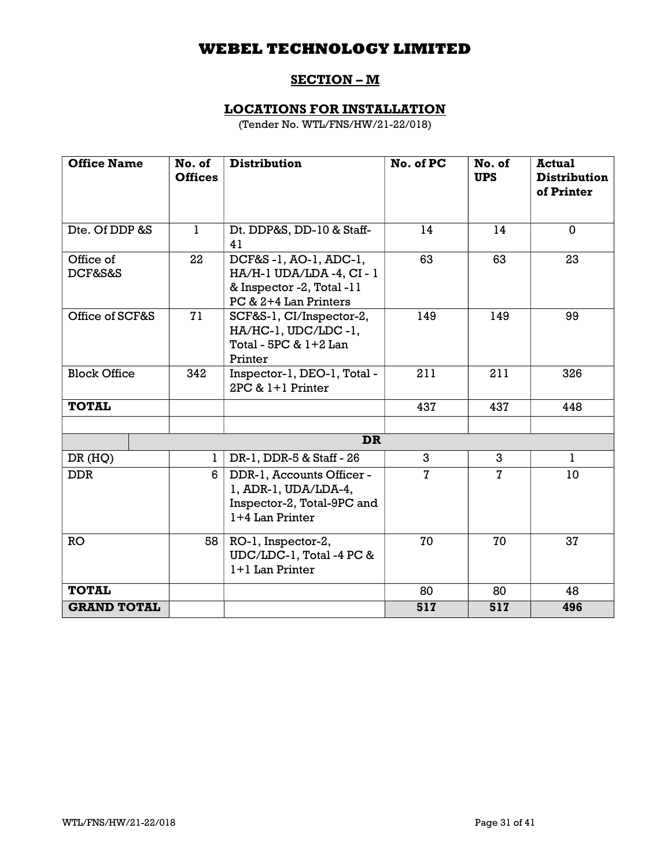# SECTION – M

# LOCATIONS FOR INSTALLATION

(Tender No. WTL/FNS/HW/21-22/018)

| <b>Office Name</b>         | No. of<br><b>Offices</b> | <b>Distribution</b>                                                                                   | No. of PC      | No. of<br><b>UPS</b> | <b>Actual</b><br><b>Distribution</b><br>of Printer |
|----------------------------|--------------------------|-------------------------------------------------------------------------------------------------------|----------------|----------------------|----------------------------------------------------|
| Dte. Of DDP &S             | 1                        | Dt. DDP&S, DD-10 & Staff-<br>41                                                                       | 14             | 14                   | $\mathbf 0$                                        |
| Office of<br>22<br>DCF&S&S |                          | DCF&S-1, AO-1, ADC-1,<br>HA/H-1 UDA/LDA-4, CI-1<br>& Inspector -2, Total -11<br>PC & 2+4 Lan Printers | 63             | 63                   | 23                                                 |
| Office of SCF&S<br>71      |                          | SCF&S-1, CI/Inspector-2,<br>HA/HC-1, UDC/LDC-1,<br>Total - 5PC & 1+2 Lan<br>Printer                   | 149            | 149                  | 99                                                 |
| <b>Block Office</b><br>342 |                          | Inspector-1, DEO-1, Total -<br>$2PC & 1+1$ Printer                                                    | 211            | 211                  | 326                                                |
| <b>TOTAL</b>               |                          |                                                                                                       | 437            | 437                  | 448                                                |
|                            |                          |                                                                                                       |                |                      |                                                    |
|                            |                          | <b>DR</b>                                                                                             |                |                      |                                                    |
| DR(HQ)                     | 1                        | DR-1, DDR-5 & Staff - 26                                                                              | 3              | 3                    | 1                                                  |
| <b>DDR</b>                 | 6                        | DDR-1, Accounts Officer -<br>1, ADR-1, UDA/LDA-4,<br>Inspector-2, Total-9PC and<br>1+4 Lan Printer    | $\overline{7}$ | $\overline{7}$       | 10                                                 |
| <b>RO</b><br>58            |                          | RO-1, Inspector-2,<br>UDC/LDC-1, Total -4 PC &<br>1+1 Lan Printer                                     | 70             | 70                   | 37                                                 |
| <b>TOTAL</b>               |                          |                                                                                                       | 80             | 80                   | 48                                                 |
| <b>GRAND TOTAL</b>         |                          |                                                                                                       | 517            | 517                  | 496                                                |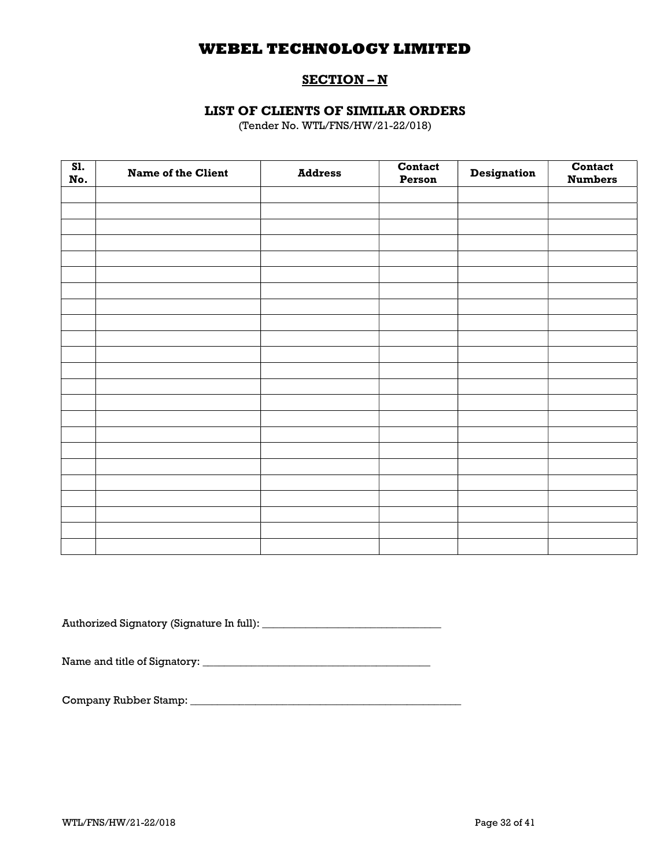## SECTION – N

## LIST OF CLIENTS OF SIMILAR ORDERS

(Tender No. WTL/FNS/HW/21-22/018)

| SI.<br>No. | <b>Name of the Client</b> | <b>Address</b> | Contact<br>Person | <b>Designation</b> | Contact<br><b>Numbers</b> |
|------------|---------------------------|----------------|-------------------|--------------------|---------------------------|
|            |                           |                |                   |                    |                           |
|            |                           |                |                   |                    |                           |
|            |                           |                |                   |                    |                           |
|            |                           |                |                   |                    |                           |
|            |                           |                |                   |                    |                           |
|            |                           |                |                   |                    |                           |
|            |                           |                |                   |                    |                           |
|            |                           |                |                   |                    |                           |
|            |                           |                |                   |                    |                           |
|            |                           |                |                   |                    |                           |
|            |                           |                |                   |                    |                           |
|            |                           |                |                   |                    |                           |
|            |                           |                |                   |                    |                           |
|            |                           |                |                   |                    |                           |
|            |                           |                |                   |                    |                           |
|            |                           |                |                   |                    |                           |
|            |                           |                |                   |                    |                           |
|            |                           |                |                   |                    |                           |
|            |                           |                |                   |                    |                           |
|            |                           |                |                   |                    |                           |
|            |                           |                |                   |                    |                           |
|            |                           |                |                   |                    |                           |
|            |                           |                |                   |                    |                           |

Authorized Signatory (Signature In full): \_\_\_\_\_\_\_\_\_\_\_\_\_\_\_\_\_\_\_\_\_\_\_\_\_\_\_\_\_\_\_\_\_

Name and title of Signatory: \_\_\_\_\_\_\_\_\_\_\_\_\_\_\_\_\_\_\_\_\_\_\_\_\_\_\_\_\_\_\_\_\_\_\_\_\_\_\_\_\_\_

Company Rubber Stamp: \_\_\_\_\_\_\_\_\_\_\_\_\_\_\_\_\_\_\_\_\_\_\_\_\_\_\_\_\_\_\_\_\_\_\_\_\_\_\_\_\_\_\_\_\_\_\_\_\_\_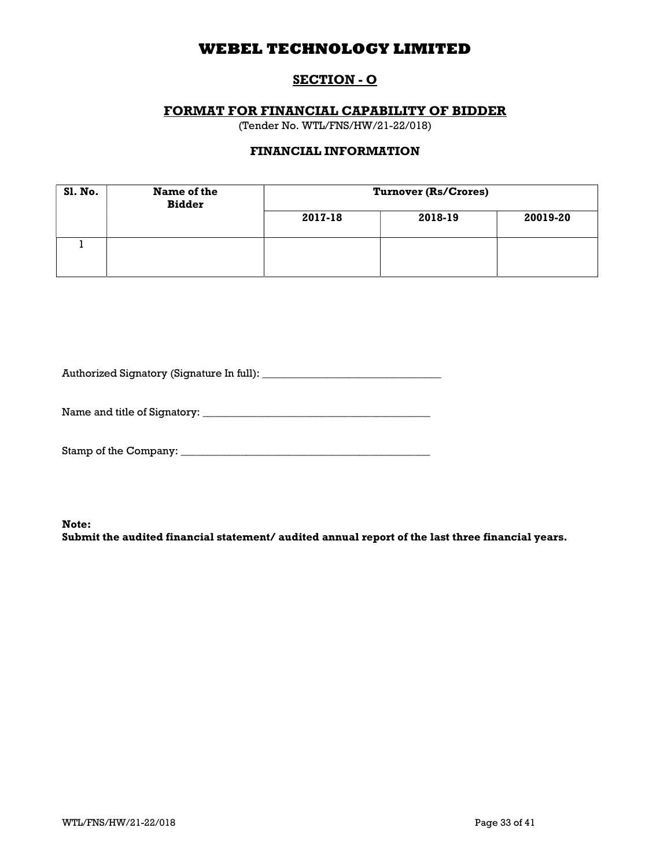## SECTION - O

## FORMAT FOR FINANCIAL CAPABILITY OF BIDDER

(Tender No. WTL/FNS/HW/21-22/018)

## FINANCIAL INFORMATION

| <b>S1. No.</b> | Name of the<br><b>Bidder</b> | <b>Turnover (Rs/Crores)</b> |         |          |  |  |
|----------------|------------------------------|-----------------------------|---------|----------|--|--|
|                |                              | 2017-18                     | 2018-19 | 20019-20 |  |  |
|                |                              |                             |         |          |  |  |

Authorized Signatory (Signature In full): \_\_\_\_\_\_\_\_\_\_\_\_\_\_\_\_\_\_\_\_\_\_\_\_\_\_\_\_\_\_\_\_\_

Name and title of Signatory: \_\_\_\_\_\_\_\_\_\_\_\_\_\_\_\_\_\_\_\_\_\_\_\_\_\_\_\_\_\_\_\_\_\_\_\_\_\_\_\_\_\_

Stamp of the Company: \_\_\_\_\_\_\_\_\_\_\_\_\_\_\_\_\_\_\_\_\_\_\_\_\_\_\_\_\_\_\_\_\_\_\_\_\_\_\_\_\_\_\_\_\_\_

Note:

Submit the audited financial statement/ audited annual report of the last three financial years.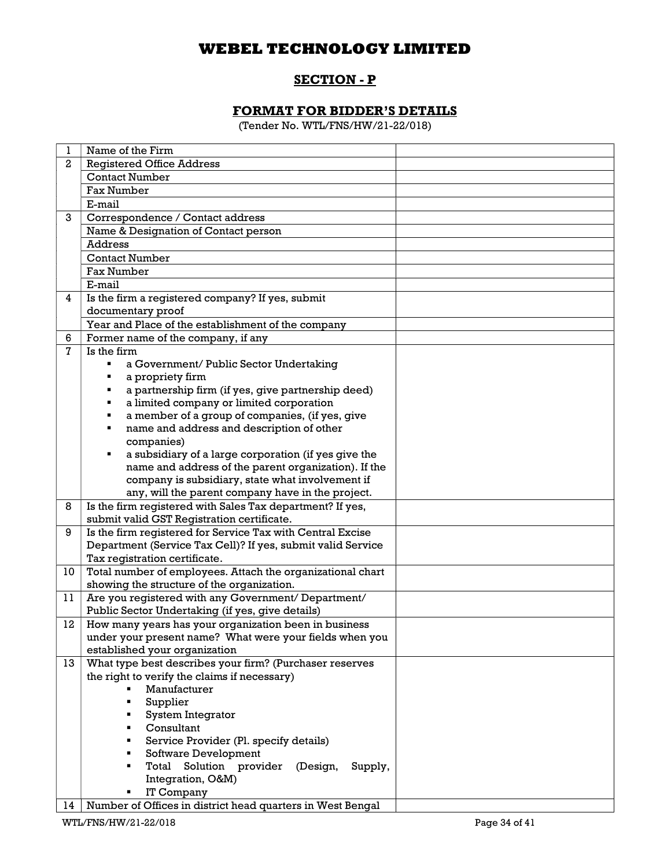# SECTION - P

# FORMAT FOR BIDDER'S DETAILS

(Tender No. WTL/FNS/HW/21-22/018)

| 1            | Name of the Firm                                             |  |
|--------------|--------------------------------------------------------------|--|
| $\mathbf{2}$ | <b>Registered Office Address</b>                             |  |
|              | <b>Contact Number</b>                                        |  |
|              | Fax Number                                                   |  |
|              | E-mail                                                       |  |
| 3            | Correspondence / Contact address                             |  |
|              | Name & Designation of Contact person                         |  |
|              | Address                                                      |  |
|              | <b>Contact Number</b>                                        |  |
|              | Fax Number                                                   |  |
|              | E-mail                                                       |  |
| 4            | Is the firm a registered company? If yes, submit             |  |
|              | documentary proof                                            |  |
|              | Year and Place of the establishment of the company           |  |
| 6            | Former name of the company, if any                           |  |
| 7            | Is the firm                                                  |  |
|              | a Government/ Public Sector Undertaking                      |  |
|              | a propriety firm                                             |  |
|              | a partnership firm (if yes, give partnership deed)           |  |
|              | a limited company or limited corporation<br>٠                |  |
|              | a member of a group of companies, (if yes, give<br>٠         |  |
|              | name and address and description of other<br>٠               |  |
|              | companies)                                                   |  |
|              | a subsidiary of a large corporation (if yes give the<br>٠    |  |
|              | name and address of the parent organization). If the         |  |
|              | company is subsidiary, state what involvement if             |  |
|              | any, will the parent company have in the project.            |  |
| 8            | Is the firm registered with Sales Tax department? If yes,    |  |
|              | submit valid GST Registration certificate.                   |  |
| 9            | Is the firm registered for Service Tax with Central Excise   |  |
|              | Department (Service Tax Cell)? If yes, submit valid Service  |  |
|              | Tax registration certificate.                                |  |
| 10           | Total number of employees. Attach the organizational chart   |  |
|              | showing the structure of the organization.                   |  |
| 11           | Are you registered with any Government/ Department/          |  |
|              | Public Sector Undertaking (if yes, give details)             |  |
| 12           | How many years has your organization been in business        |  |
|              | under your present name? What were your fields when you      |  |
|              | established your organization                                |  |
| 13           | What type best describes your firm? (Purchaser reserves      |  |
|              | the right to verify the claims if necessary)<br>Manufacturer |  |
|              |                                                              |  |
|              | Supplier                                                     |  |
|              | System Integrator<br>٠<br>Consultant                         |  |
|              |                                                              |  |
|              | Service Provider (Pl. specify details)                       |  |
|              | Software Development                                         |  |
|              | Solution provider<br>Total<br>(Design,<br>Supply,            |  |
|              | Integration, O&M)<br>IT Company                              |  |
|              | Number of Offices in district head quarters in West Bengal   |  |
| 14           |                                                              |  |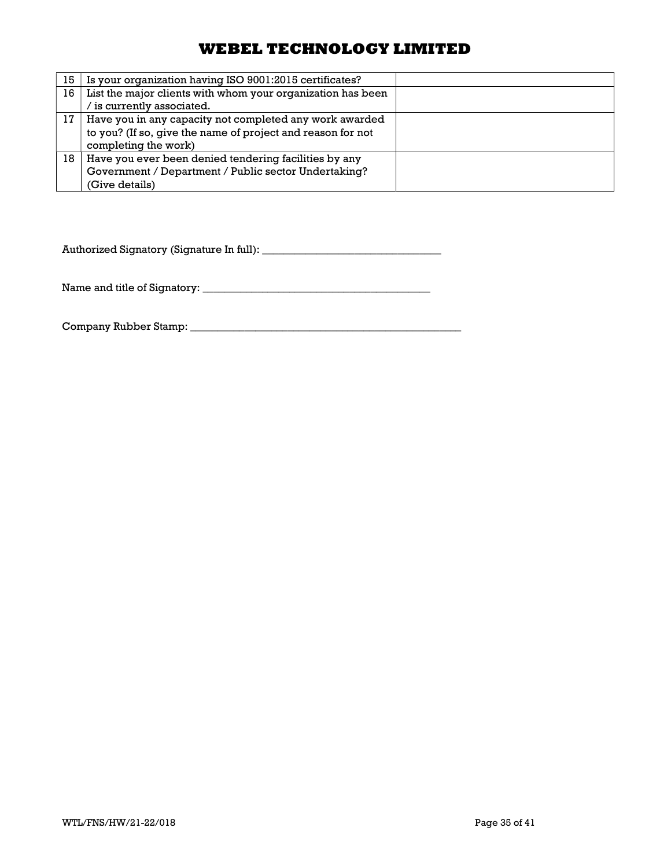| 15 | Is your organization having ISO 9001:2015 certificates?     |  |
|----|-------------------------------------------------------------|--|
| 16 | List the major clients with whom your organization has been |  |
|    | is currently associated.                                    |  |
| 17 | Have you in any capacity not completed any work awarded     |  |
|    | to you? (If so, give the name of project and reason for not |  |
|    | completing the work)                                        |  |
| 18 | Have you ever been denied tendering facilities by any       |  |
|    | Government / Department / Public sector Undertaking?        |  |
|    | (Give details)                                              |  |

Authorized Signatory (Signature In full): \_\_\_\_\_\_\_\_\_\_\_\_\_\_\_\_\_\_\_\_\_\_\_\_\_\_\_\_\_\_\_\_\_

Name and title of Signatory: \_\_\_\_\_\_\_\_\_\_\_\_\_\_\_\_\_\_\_\_\_\_\_\_\_\_\_\_\_\_\_\_\_\_\_\_\_\_\_\_\_\_

Company Rubber Stamp: \_\_\_\_\_\_\_\_\_\_\_\_\_\_\_\_\_\_\_\_\_\_\_\_\_\_\_\_\_\_\_\_\_\_\_\_\_\_\_\_\_\_\_\_\_\_\_\_\_\_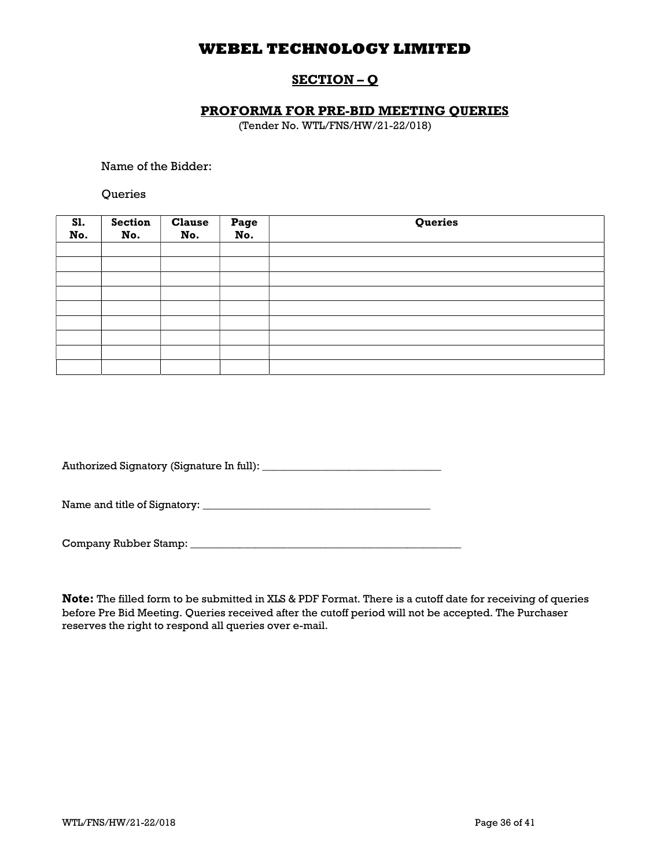## SECTION – Q

### PROFORMA FOR PRE-BID MEETING QUERIES

(Tender No. WTL/FNS/HW/21-22/018)

Name of the Bidder:

**Oueries** 

| <b>S1.</b><br>No. | <b>Section</b><br>No. | <b>Clause</b><br>No. | Page<br>No. | Queries |
|-------------------|-----------------------|----------------------|-------------|---------|
|                   |                       |                      |             |         |
|                   |                       |                      |             |         |
|                   |                       |                      |             |         |
|                   |                       |                      |             |         |
|                   |                       |                      |             |         |
|                   |                       |                      |             |         |
|                   |                       |                      |             |         |
|                   |                       |                      |             |         |
|                   |                       |                      |             |         |

Authorized Signatory (Signature In full): \_\_\_\_\_\_\_\_\_\_\_\_\_\_\_\_\_\_\_\_\_\_\_\_\_\_\_\_\_\_\_\_\_

Name and title of Signatory: \_\_\_\_\_\_\_\_\_\_\_\_\_\_\_\_\_\_\_\_\_\_\_\_\_\_\_\_\_\_\_\_\_\_\_\_\_\_\_\_\_\_

Company Rubber Stamp: \_\_\_\_\_\_\_\_\_\_\_\_\_\_\_\_\_\_\_\_\_\_\_\_\_\_\_\_\_\_\_\_\_\_\_\_\_\_\_\_\_\_\_\_\_\_\_\_\_\_

Note: The filled form to be submitted in XLS & PDF Format. There is a cutoff date for receiving of queries before Pre Bid Meeting. Queries received after the cutoff period will not be accepted. The Purchaser reserves the right to respond all queries over e-mail.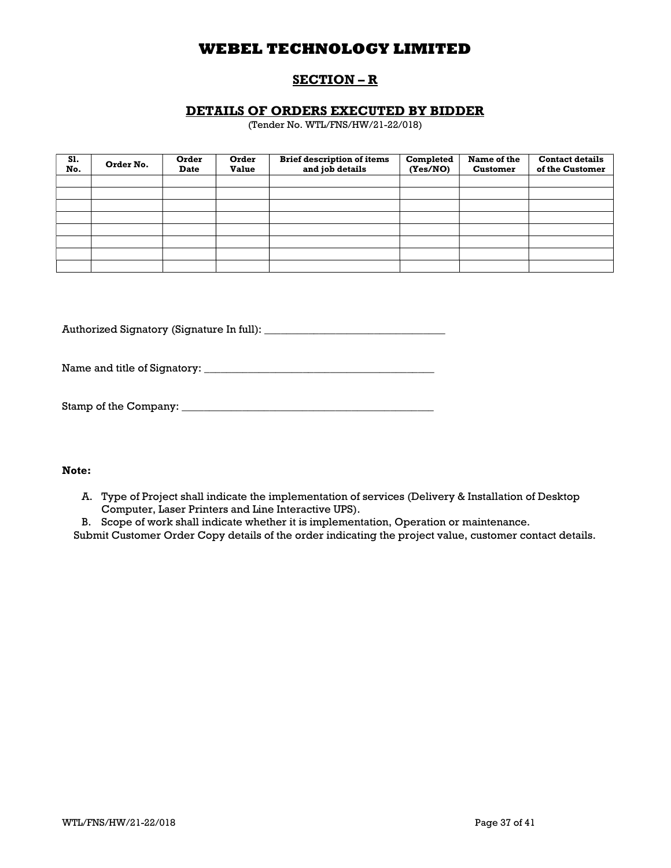## SECTION – R

## DETAILS OF ORDERS EXECUTED BY BIDDER

(Tender No. WTL/FNS/HW/21-22/018)

| S1.<br>No. | Order No. | Order<br><b>Date</b> | Order<br><b>Value</b> | <b>Brief description of items</b><br>and job details | Completed<br>(Yes/NO) | Name of the<br><b>Customer</b> | <b>Contact details</b><br>of the Customer |
|------------|-----------|----------------------|-----------------------|------------------------------------------------------|-----------------------|--------------------------------|-------------------------------------------|
|            |           |                      |                       |                                                      |                       |                                |                                           |
|            |           |                      |                       |                                                      |                       |                                |                                           |
|            |           |                      |                       |                                                      |                       |                                |                                           |
|            |           |                      |                       |                                                      |                       |                                |                                           |
|            |           |                      |                       |                                                      |                       |                                |                                           |
|            |           |                      |                       |                                                      |                       |                                |                                           |
|            |           |                      |                       |                                                      |                       |                                |                                           |
|            |           |                      |                       |                                                      |                       |                                |                                           |

Authorized Signatory (Signature In full): \_\_\_\_\_\_\_\_\_\_\_\_\_\_\_\_\_\_\_\_\_\_\_\_\_\_\_\_\_\_\_\_\_

Name and title of Signatory: \_\_\_\_\_\_\_\_\_\_\_\_\_\_\_\_\_\_\_\_\_\_\_\_\_\_\_\_\_\_\_\_\_\_\_\_\_\_\_\_\_\_

| Stamp of the Company: |  |
|-----------------------|--|
|-----------------------|--|

## Note:

- A. Type of Project shall indicate the implementation of services (Delivery & Installation of Desktop Computer, Laser Printers and Line Interactive UPS).
- B. Scope of work shall indicate whether it is implementation, Operation or maintenance.

Submit Customer Order Copy details of the order indicating the project value, customer contact details.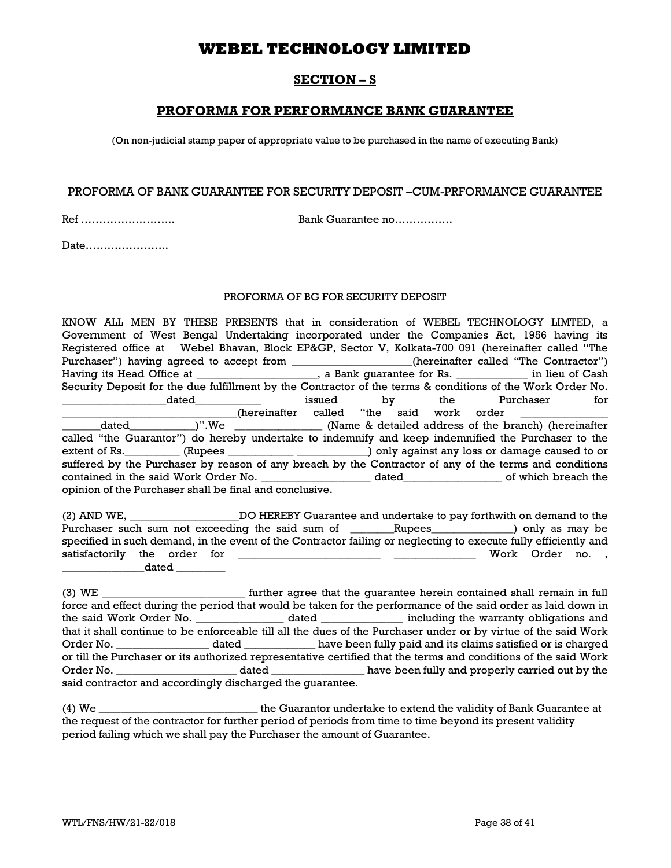## SECTION – S

## PROFORMA FOR PERFORMANCE BANK GUARANTEE

(On non-judicial stamp paper of appropriate value to be purchased in the name of executing Bank)

### PROFORMA OF BANK GUARANTEE FOR SECURITY DEPOSIT –CUM-PRFORMANCE GUARANTEE

Ref …………………….. Bank Guarantee no…………….

Date…………………..

### PROFORMA OF BG FOR SECURITY DEPOSIT

KNOW ALL MEN BY THESE PRESENTS that in consideration of WEBEL TECHNOLOGY LIMTED, a Government of West Bengal Undertaking incorporated under the Companies Act, 1956 having its Registered office at Webel Bhavan, Block EP&GP, Sector V, Kolkata-700 091 (hereinafter called "The Purchaser") having agreed to accept from \_\_\_\_\_\_\_\_\_\_\_\_\_\_\_\_\_(hereinafter called "The Contractor") Having its Head Office at \_\_\_\_\_\_\_\_\_\_\_\_\_\_\_\_\_, a Bank guarantee for Rs. \_\_\_\_\_\_\_\_\_\_\_\_\_ in lieu of Cash Security Deposit for the due fulfillment by the Contractor of the terms & conditions of the Work Order No. \_\_\_\_\_\_\_\_\_\_\_\_\_\_\_\_\_\_\_dated\_\_\_\_\_\_\_\_\_\_\_\_ issued by the Purchaser for \_\_\_\_\_\_\_\_\_\_\_\_\_\_\_\_\_\_\_\_\_\_\_\_\_\_\_\_\_\_\_\_(hereinafter called "the said work order \_\_\_\_\_\_\_\_\_\_\_\_\_\_\_\_ \_\_\_\_\_\_\_dated\_\_\_\_\_\_\_\_\_\_\_\_)".We \_\_\_\_\_\_\_\_\_\_\_\_\_\_\_\_ (Name & detailed address of the branch) (hereinafter called "the Guarantor") do hereby undertake to indemnify and keep indemnified the Purchaser to the extent of Rs. \_\_\_\_\_\_\_\_\_ (Rupees \_\_\_\_\_\_\_\_\_\_\_\_\_\_\_\_\_\_\_\_\_\_\_\_\_\_) only against any loss or damage caused to or suffered by the Purchaser by reason of any breach by the Contractor of any of the terms and conditions contained in the said Work Order No. \_\_\_\_\_\_\_\_\_\_\_\_\_\_\_\_\_\_\_\_ dated\_\_\_\_\_\_\_\_\_\_\_\_\_\_\_\_\_\_ of which breach the opinion of the Purchaser shall be final and conclusive.

(2) AND WE, \_\_\_\_\_\_\_\_\_\_\_\_\_\_\_\_\_\_\_\_DO HEREBY Guarantee and undertake to pay forthwith on demand to the Purchaser such sum not exceeding the said sum of \_\_\_\_\_\_Rupees\_\_\_\_\_\_\_\_\_\_\_\_\_) only as may be specified in such demand, in the event of the Contractor failing or neglecting to execute fully efficiently and satisfactorily the order for \_\_\_\_\_\_\_\_\_\_\_\_\_\_\_\_\_\_\_\_\_\_\_\_\_\_ \_\_\_\_\_\_\_\_\_\_\_\_\_\_\_ Work Order no. , \_\_\_\_\_\_\_\_\_\_\_\_\_\_\_dated \_\_\_\_\_\_\_\_\_

(3) WE \_\_\_\_\_\_\_\_\_\_\_\_\_\_\_\_\_\_\_\_\_\_\_\_\_\_ further agree that the guarantee herein contained shall remain in full force and effect during the period that would be taken for the performance of the said order as laid down in the said Work Order No. \_\_\_\_\_\_\_\_\_\_\_\_\_\_\_\_ dated \_\_\_\_\_\_\_\_\_\_\_\_\_\_\_ including the warranty obligations and that it shall continue to be enforceable till all the dues of the Purchaser under or by virtue of the said Work Order No. \_\_\_\_\_\_\_\_\_\_\_\_\_\_\_\_\_\_\_\_\_ dated \_\_\_\_\_\_\_\_\_\_\_\_\_\_\_\_ have been fully paid and its claims satisfied or is charged or till the Purchaser or its authorized representative certified that the terms and conditions of the said Work Order No. \_\_\_\_\_\_\_\_\_\_\_\_\_\_\_\_\_\_\_\_\_\_ dated \_\_\_\_\_\_\_\_\_\_\_\_\_\_\_\_\_ have been fully and properly carried out by the said contractor and accordingly discharged the guarantee.

(4) We \_\_\_\_\_\_\_\_\_\_\_\_\_\_\_\_\_\_\_\_\_\_\_\_\_\_\_\_\_ the Guarantor undertake to extend the validity of Bank Guarantee at the request of the contractor for further period of periods from time to time beyond its present validity period failing which we shall pay the Purchaser the amount of Guarantee.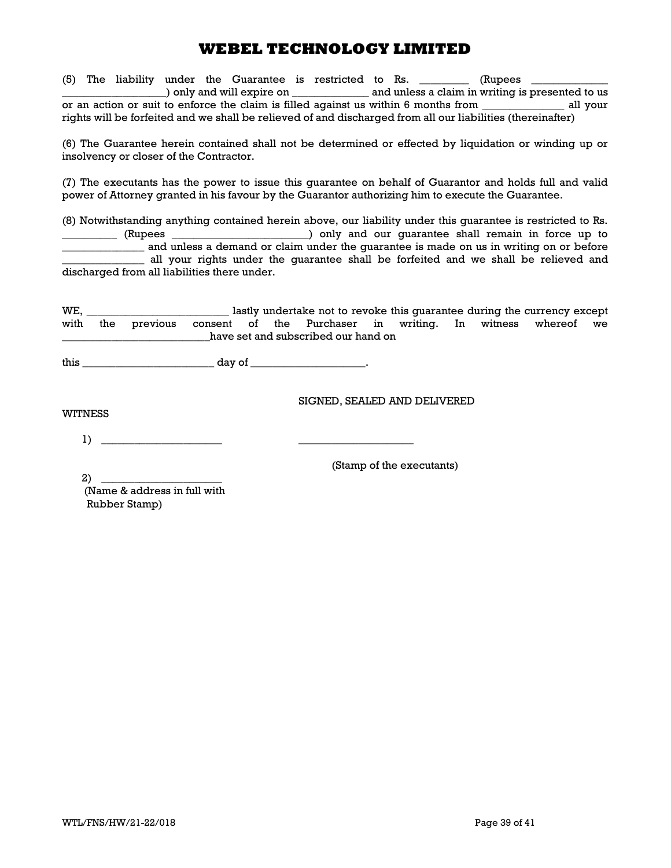(5) The liability under the Guarantee is restricted to Rs.  $\qquad \qquad$  (Rupees \_) only and will expire on \_\_\_\_\_\_\_\_\_\_\_\_\_\_\_\_ and unless a claim in writing is presented to us or an action or suit to enforce the claim is filled against us within 6 months from \_\_\_\_\_\_\_\_\_\_\_\_\_\_\_ all your rights will be forfeited and we shall be relieved of and discharged from all our liabilities (thereinafter)

(6) The Guarantee herein contained shall not be determined or effected by liquidation or winding up or insolvency or closer of the Contractor.

(7) The executants has the power to issue this guarantee on behalf of Guarantor and holds full and valid power of Attorney granted in his favour by the Guarantor authorizing him to execute the Guarantee.

(8) Notwithstanding anything contained herein above, our liability under this guarantee is restricted to Rs. \_\_\_\_\_\_\_\_\_\_ (Rupees \_\_\_\_\_\_\_\_\_\_\_\_\_\_\_\_\_\_\_\_\_\_\_\_\_) only and our guarantee shall remain in force up to and unless a demand or claim under the guarantee is made on us in writing on or before all your rights under the guarantee shall be forfeited and we shall be relieved and discharged from all liabilities there under.

| WE.                                 |  |  |  |  |  | lastly undertake not to revoke this quarantee during the currency except     |  |  |  |  |
|-------------------------------------|--|--|--|--|--|------------------------------------------------------------------------------|--|--|--|--|
|                                     |  |  |  |  |  | with the previous consent of the Purchaser in writing. In witness whereof we |  |  |  |  |
| have set and subscribed our hand on |  |  |  |  |  |                                                                              |  |  |  |  |

this  $\frac{1}{\sqrt{2\pi}}$  day of  $\frac{1}{\sqrt{2\pi}}$ .

SIGNED, SEALED AND DELIVERED

WITNESS

1) \_\_\_\_\_\_\_\_\_\_\_\_\_\_\_\_\_\_\_\_\_\_ \_\_\_\_\_\_\_\_\_\_\_\_\_\_\_\_\_\_\_\_\_

(Stamp of the executants)

 $2)$ 

 (Name & address in full with Rubber Stamp)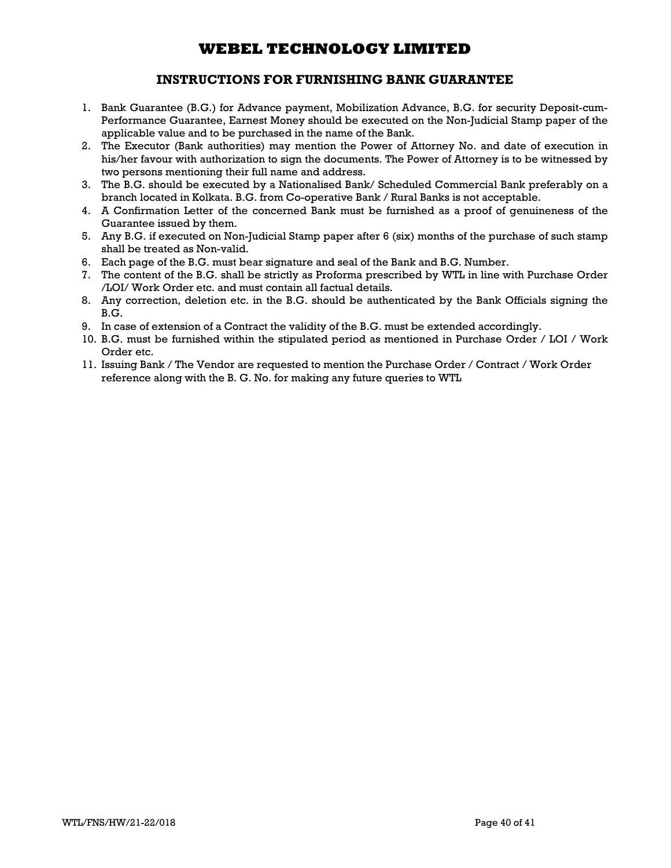## INSTRUCTIONS FOR FURNISHING BANK GUARANTEE

- 1. Bank Guarantee (B.G.) for Advance payment, Mobilization Advance, B.G. for security Deposit-cum-Performance Guarantee, Earnest Money should be executed on the Non-Judicial Stamp paper of the applicable value and to be purchased in the name of the Bank.
- 2. The Executor (Bank authorities) may mention the Power of Attorney No. and date of execution in his/her favour with authorization to sign the documents. The Power of Attorney is to be witnessed by two persons mentioning their full name and address.
- 3. The B.G. should be executed by a Nationalised Bank/ Scheduled Commercial Bank preferably on a branch located in Kolkata. B.G. from Co-operative Bank / Rural Banks is not acceptable.
- 4. A Confirmation Letter of the concerned Bank must be furnished as a proof of genuineness of the Guarantee issued by them.
- 5. Any B.G. if executed on Non-Judicial Stamp paper after 6 (six) months of the purchase of such stamp shall be treated as Non-valid.
- 6. Each page of the B.G. must bear signature and seal of the Bank and B.G. Number.
- 7. The content of the B.G. shall be strictly as Proforma prescribed by WTL in line with Purchase Order /LOI/ Work Order etc. and must contain all factual details.
- 8. Any correction, deletion etc. in the B.G. should be authenticated by the Bank Officials signing the B.G.
- 9. In case of extension of a Contract the validity of the B.G. must be extended accordingly.
- 10. B.G. must be furnished within the stipulated period as mentioned in Purchase Order / LOI / Work Order etc.
- 11. Issuing Bank / The Vendor are requested to mention the Purchase Order / Contract / Work Order reference along with the B. G. No. for making any future queries to WTL